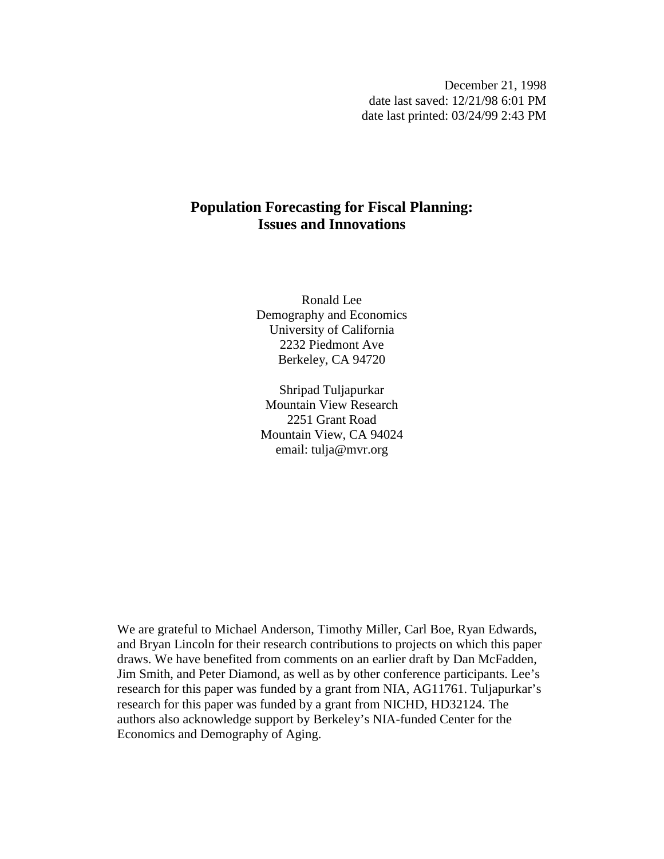December 21, 1998 date last saved: 12/21/98 6:01 PM date last printed: 03/24/99 2:43 PM

## **Population Forecasting for Fiscal Planning: Issues and Innovations**

Ronald Lee Demography and Economics University of California 2232 Piedmont Ave Berkeley, CA 94720

Shripad Tuljapurkar Mountain View Research 2251 Grant Road Mountain View, CA 94024 email: tulja@mvr.org

We are grateful to Michael Anderson, Timothy Miller, Carl Boe, Ryan Edwards, and Bryan Lincoln for their research contributions to projects on which this paper draws. We have benefited from comments on an earlier draft by Dan McFadden, Jim Smith, and Peter Diamond, as well as by other conference participants. Lee's research for this paper was funded by a grant from NIA, AG11761. Tuljapurkar's research for this paper was funded by a grant from NICHD, HD32124. The authors also acknowledge support by Berkeley's NIA-funded Center for the Economics and Demography of Aging.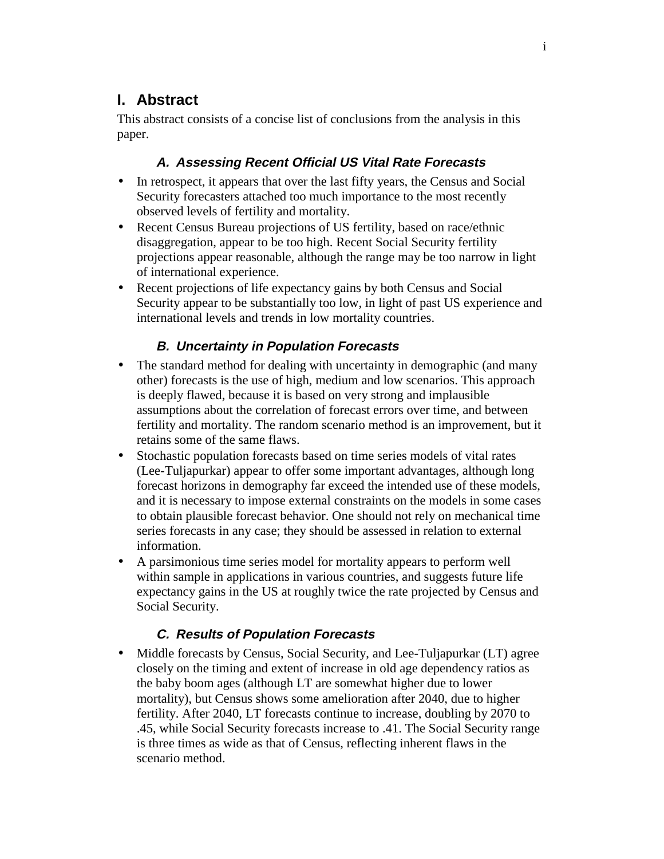## **I. Abstract**

This abstract consists of a concise list of conclusions from the analysis in this paper.

## **A. Assessing Recent Official US Vital Rate Forecasts**

- In retrospect, it appears that over the last fifty years, the Census and Social Security forecasters attached too much importance to the most recently observed levels of fertility and mortality.
- Recent Census Bureau projections of US fertility, based on race/ethnic disaggregation, appear to be too high. Recent Social Security fertility projections appear reasonable, although the range may be too narrow in light of international experience.
- Recent projections of life expectancy gains by both Census and Social Security appear to be substantially too low, in light of past US experience and international levels and trends in low mortality countries.

## **B. Uncertainty in Population Forecasts**

- The standard method for dealing with uncertainty in demographic (and many other) forecasts is the use of high, medium and low scenarios. This approach is deeply flawed, because it is based on very strong and implausible assumptions about the correlation of forecast errors over time, and between fertility and mortality. The random scenario method is an improvement, but it retains some of the same flaws.
- Stochastic population forecasts based on time series models of vital rates (Lee-Tuljapurkar) appear to offer some important advantages, although long forecast horizons in demography far exceed the intended use of these models, and it is necessary to impose external constraints on the models in some cases to obtain plausible forecast behavior. One should not rely on mechanical time series forecasts in any case; they should be assessed in relation to external information.
- A parsimonious time series model for mortality appears to perform well within sample in applications in various countries, and suggests future life expectancy gains in the US at roughly twice the rate projected by Census and Social Security.

## **C. Results of Population Forecasts**

• Middle forecasts by Census, Social Security, and Lee-Tuljapurkar (LT) agree closely on the timing and extent of increase in old age dependency ratios as the baby boom ages (although LT are somewhat higher due to lower mortality), but Census shows some amelioration after 2040, due to higher fertility. After 2040, LT forecasts continue to increase, doubling by 2070 to .45, while Social Security forecasts increase to .41. The Social Security range is three times as wide as that of Census, reflecting inherent flaws in the scenario method.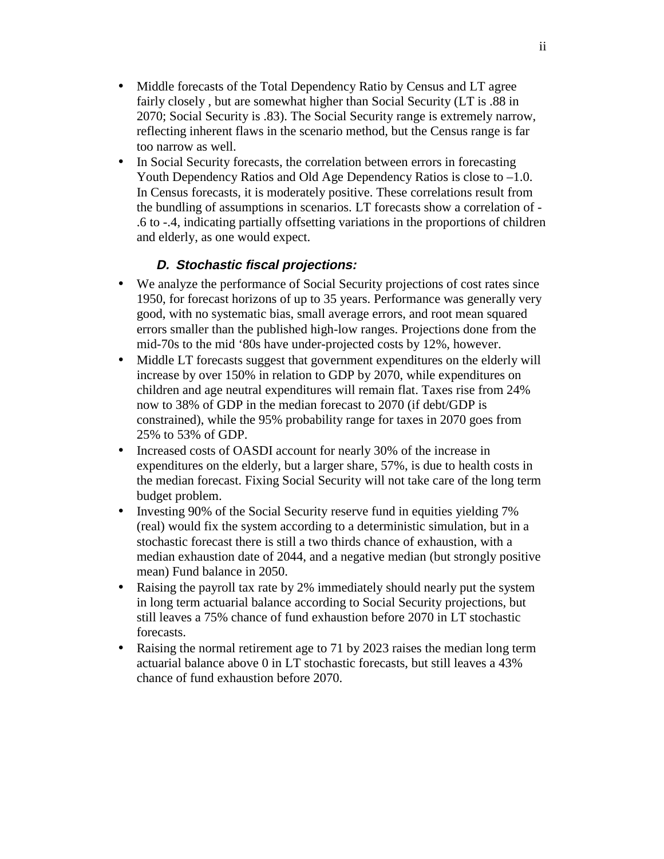- Middle forecasts of the Total Dependency Ratio by Census and LT agree fairly closely , but are somewhat higher than Social Security (LT is .88 in 2070; Social Security is .83). The Social Security range is extremely narrow, reflecting inherent flaws in the scenario method, but the Census range is far too narrow as well.
- In Social Security forecasts, the correlation between errors in forecasting Youth Dependency Ratios and Old Age Dependency Ratios is close to –1.0. In Census forecasts, it is moderately positive. These correlations result from the bundling of assumptions in scenarios. LT forecasts show a correlation of - .6 to -.4, indicating partially offsetting variations in the proportions of children and elderly, as one would expect.

## **D. Stochastic fiscal projections:**

- We analyze the performance of Social Security projections of cost rates since 1950, for forecast horizons of up to 35 years. Performance was generally very good, with no systematic bias, small average errors, and root mean squared errors smaller than the published high-low ranges. Projections done from the mid-70s to the mid '80s have under-projected costs by 12%, however.
- Middle LT forecasts suggest that government expenditures on the elderly will increase by over 150% in relation to GDP by 2070, while expenditures on children and age neutral expenditures will remain flat. Taxes rise from 24% now to 38% of GDP in the median forecast to 2070 (if debt/GDP is constrained), while the 95% probability range for taxes in 2070 goes from 25% to 53% of GDP.
- Increased costs of OASDI account for nearly 30% of the increase in expenditures on the elderly, but a larger share, 57%, is due to health costs in the median forecast. Fixing Social Security will not take care of the long term budget problem.
- Investing 90% of the Social Security reserve fund in equities yielding 7% (real) would fix the system according to a deterministic simulation, but in a stochastic forecast there is still a two thirds chance of exhaustion, with a median exhaustion date of 2044, and a negative median (but strongly positive mean) Fund balance in 2050.
- Raising the payroll tax rate by 2% immediately should nearly put the system in long term actuarial balance according to Social Security projections, but still leaves a 75% chance of fund exhaustion before 2070 in LT stochastic forecasts.
- Raising the normal retirement age to 71 by 2023 raises the median long term actuarial balance above 0 in LT stochastic forecasts, but still leaves a 43% chance of fund exhaustion before 2070.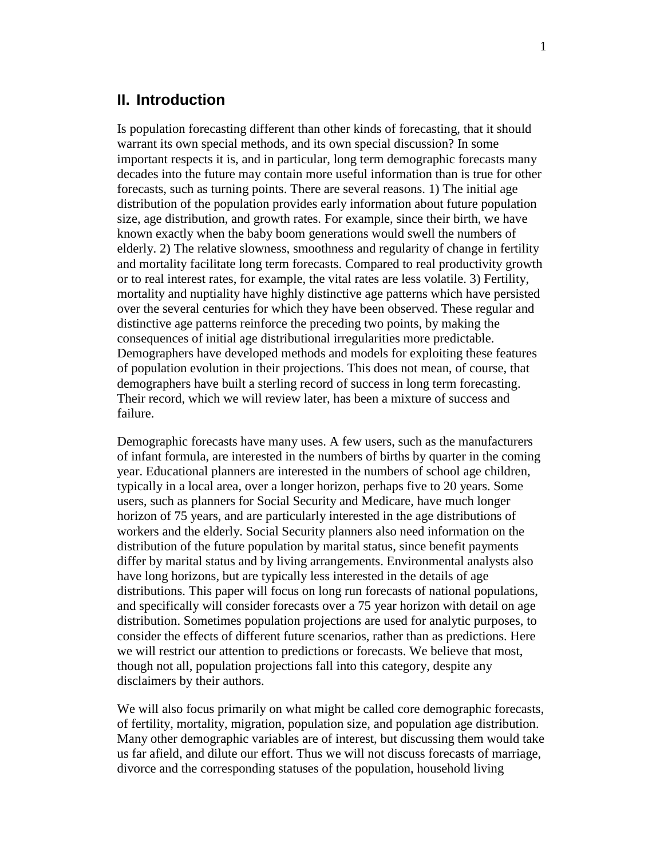## **II. Introduction**

Is population forecasting different than other kinds of forecasting, that it should warrant its own special methods, and its own special discussion? In some important respects it is, and in particular, long term demographic forecasts many decades into the future may contain more useful information than is true for other forecasts, such as turning points. There are several reasons. 1) The initial age distribution of the population provides early information about future population size, age distribution, and growth rates. For example, since their birth, we have known exactly when the baby boom generations would swell the numbers of elderly. 2) The relative slowness, smoothness and regularity of change in fertility and mortality facilitate long term forecasts. Compared to real productivity growth or to real interest rates, for example, the vital rates are less volatile. 3) Fertility, mortality and nuptiality have highly distinctive age patterns which have persisted over the several centuries for which they have been observed. These regular and distinctive age patterns reinforce the preceding two points, by making the consequences of initial age distributional irregularities more predictable. Demographers have developed methods and models for exploiting these features of population evolution in their projections. This does not mean, of course, that demographers have built a sterling record of success in long term forecasting. Their record, which we will review later, has been a mixture of success and failure.

Demographic forecasts have many uses. A few users, such as the manufacturers of infant formula, are interested in the numbers of births by quarter in the coming year. Educational planners are interested in the numbers of school age children, typically in a local area, over a longer horizon, perhaps five to 20 years. Some users, such as planners for Social Security and Medicare, have much longer horizon of 75 years, and are particularly interested in the age distributions of workers and the elderly. Social Security planners also need information on the distribution of the future population by marital status, since benefit payments differ by marital status and by living arrangements. Environmental analysts also have long horizons, but are typically less interested in the details of age distributions. This paper will focus on long run forecasts of national populations, and specifically will consider forecasts over a 75 year horizon with detail on age distribution. Sometimes population projections are used for analytic purposes, to consider the effects of different future scenarios, rather than as predictions. Here we will restrict our attention to predictions or forecasts. We believe that most, though not all, population projections fall into this category, despite any disclaimers by their authors.

We will also focus primarily on what might be called core demographic forecasts, of fertility, mortality, migration, population size, and population age distribution. Many other demographic variables are of interest, but discussing them would take us far afield, and dilute our effort. Thus we will not discuss forecasts of marriage, divorce and the corresponding statuses of the population, household living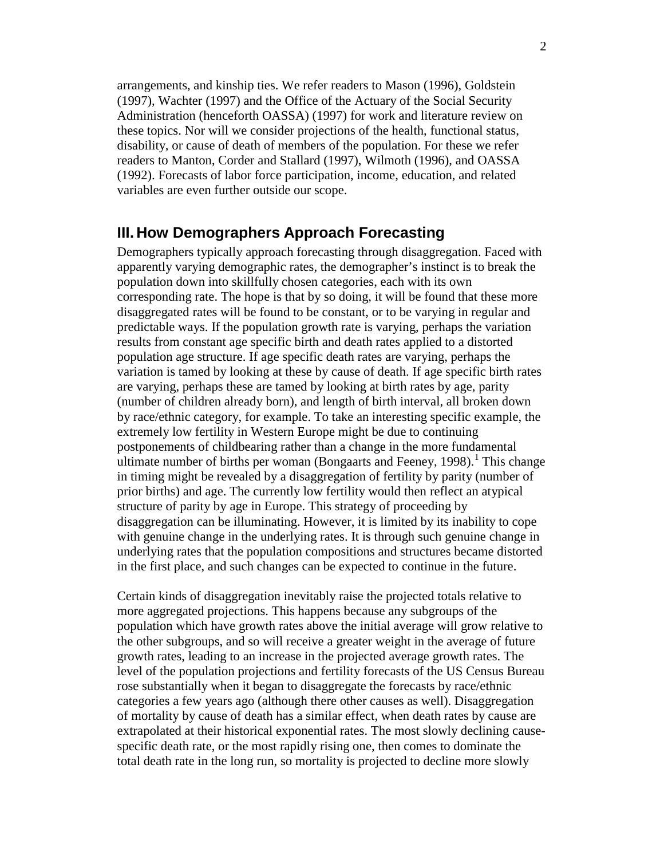arrangements, and kinship ties. We refer readers to Mason (1996), Goldstein (1997), Wachter (1997) and the Office of the Actuary of the Social Security Administration (henceforth OASSA) (1997) for work and literature review on these topics. Nor will we consider projections of the health, functional status, disability, or cause of death of members of the population. For these we refer readers to Manton, Corder and Stallard (1997), Wilmoth (1996), and OASSA (1992). Forecasts of labor force participation, income, education, and related variables are even further outside our scope.

## **III. How Demographers Approach Forecasting**

Demographers typically approach forecasting through disaggregation. Faced with apparently varying demographic rates, the demographer's instinct is to break the population down into skillfully chosen categories, each with its own corresponding rate. The hope is that by so doing, it will be found that these more disaggregated rates will be found to be constant, or to be varying in regular and predictable ways. If the population growth rate is varying, perhaps the variation results from constant age specific birth and death rates applied to a distorted population age structure. If age specific death rates are varying, perhaps the variation is tamed by looking at these by cause of death. If age specific birth rates are varying, perhaps these are tamed by looking at birth rates by age, parity (number of children already born), and length of birth interval, all broken down by race/ethnic category, for example. To take an interesting specific example, the extremely low fertility in Western Europe might be due to continuing postponements of childbearing rather than a change in the more fundamental ultimate number of births per woman (Bongaarts and Feeney, 1998).<sup>1</sup> This change in timing might be revealed by a disaggregation of fertility by parity (number of prior births) and age. The currently low fertility would then reflect an atypical structure of parity by age in Europe. This strategy of proceeding by disaggregation can be illuminating. However, it is limited by its inability to cope with genuine change in the underlying rates. It is through such genuine change in underlying rates that the population compositions and structures became distorted in the first place, and such changes can be expected to continue in the future.

Certain kinds of disaggregation inevitably raise the projected totals relative to more aggregated projections. This happens because any subgroups of the population which have growth rates above the initial average will grow relative to the other subgroups, and so will receive a greater weight in the average of future growth rates, leading to an increase in the projected average growth rates. The level of the population projections and fertility forecasts of the US Census Bureau rose substantially when it began to disaggregate the forecasts by race/ethnic categories a few years ago (although there other causes as well). Disaggregation of mortality by cause of death has a similar effect, when death rates by cause are extrapolated at their historical exponential rates. The most slowly declining causespecific death rate, or the most rapidly rising one, then comes to dominate the total death rate in the long run, so mortality is projected to decline more slowly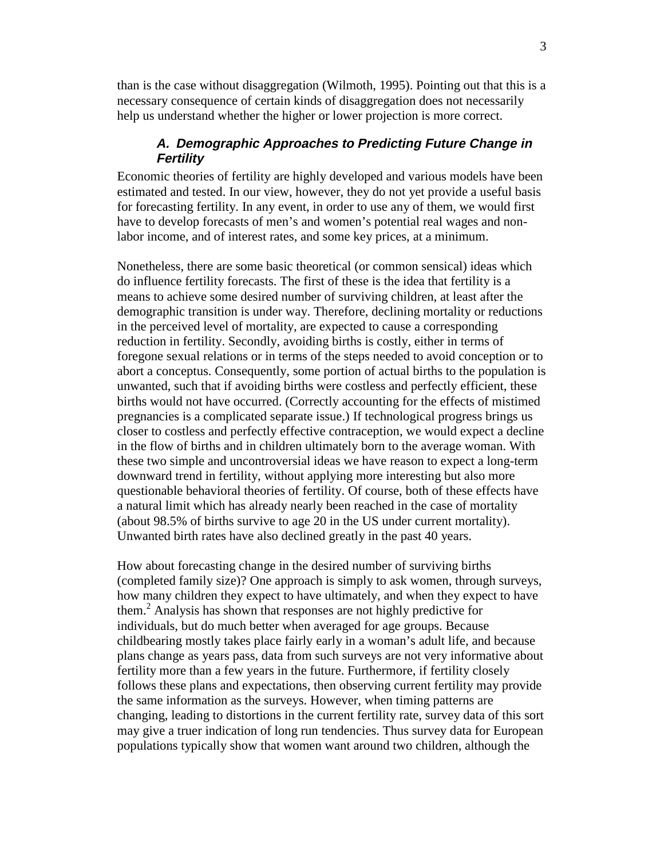than is the case without disaggregation (Wilmoth, 1995). Pointing out that this is a necessary consequence of certain kinds of disaggregation does not necessarily help us understand whether the higher or lower projection is more correct.

#### **A. Demographic Approaches to Predicting Future Change in Fertility**

Economic theories of fertility are highly developed and various models have been estimated and tested. In our view, however, they do not yet provide a useful basis for forecasting fertility. In any event, in order to use any of them, we would first have to develop forecasts of men's and women's potential real wages and nonlabor income, and of interest rates, and some key prices, at a minimum.

Nonetheless, there are some basic theoretical (or common sensical) ideas which do influence fertility forecasts. The first of these is the idea that fertility is a means to achieve some desired number of surviving children, at least after the demographic transition is under way. Therefore, declining mortality or reductions in the perceived level of mortality, are expected to cause a corresponding reduction in fertility. Secondly, avoiding births is costly, either in terms of foregone sexual relations or in terms of the steps needed to avoid conception or to abort a conceptus. Consequently, some portion of actual births to the population is unwanted, such that if avoiding births were costless and perfectly efficient, these births would not have occurred. (Correctly accounting for the effects of mistimed pregnancies is a complicated separate issue.) If technological progress brings us closer to costless and perfectly effective contraception, we would expect a decline in the flow of births and in children ultimately born to the average woman. With these two simple and uncontroversial ideas we have reason to expect a long-term downward trend in fertility, without applying more interesting but also more questionable behavioral theories of fertility. Of course, both of these effects have a natural limit which has already nearly been reached in the case of mortality (about 98.5% of births survive to age 20 in the US under current mortality). Unwanted birth rates have also declined greatly in the past 40 years.

How about forecasting change in the desired number of surviving births (completed family size)? One approach is simply to ask women, through surveys, how many children they expect to have ultimately, and when they expect to have them.2 Analysis has shown that responses are not highly predictive for individuals, but do much better when averaged for age groups. Because childbearing mostly takes place fairly early in a woman's adult life, and because plans change as years pass, data from such surveys are not very informative about fertility more than a few years in the future. Furthermore, if fertility closely follows these plans and expectations, then observing current fertility may provide the same information as the surveys. However, when timing patterns are changing, leading to distortions in the current fertility rate, survey data of this sort may give a truer indication of long run tendencies. Thus survey data for European populations typically show that women want around two children, although the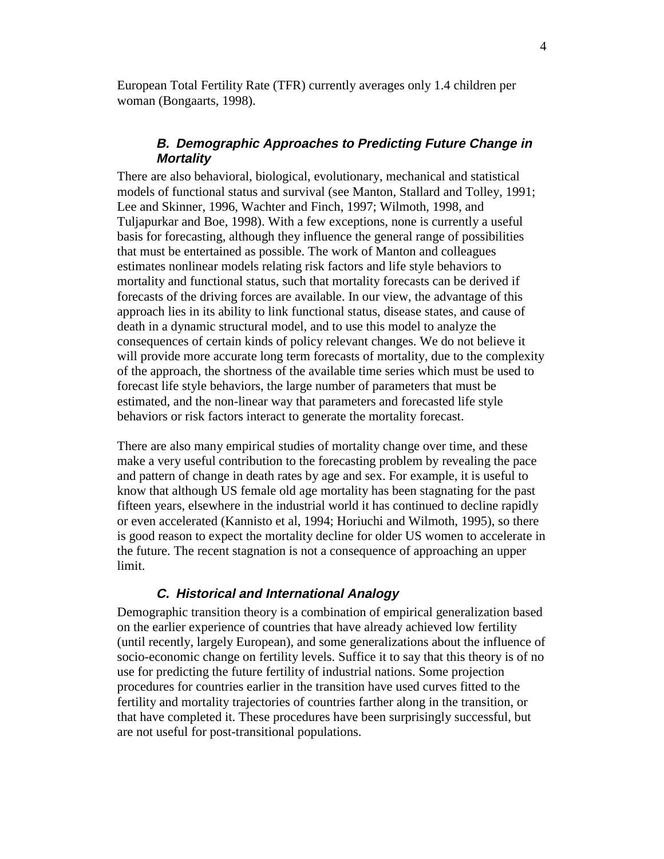European Total Fertility Rate (TFR) currently averages only 1.4 children per woman (Bongaarts, 1998).

#### **B. Demographic Approaches to Predicting Future Change in Mortality**

There are also behavioral, biological, evolutionary, mechanical and statistical models of functional status and survival (see Manton, Stallard and Tolley, 1991; Lee and Skinner, 1996, Wachter and Finch, 1997; Wilmoth, 1998, and Tuljapurkar and Boe, 1998). With a few exceptions, none is currently a useful basis for forecasting, although they influence the general range of possibilities that must be entertained as possible. The work of Manton and colleagues estimates nonlinear models relating risk factors and life style behaviors to mortality and functional status, such that mortality forecasts can be derived if forecasts of the driving forces are available. In our view, the advantage of this approach lies in its ability to link functional status, disease states, and cause of death in a dynamic structural model, and to use this model to analyze the consequences of certain kinds of policy relevant changes. We do not believe it will provide more accurate long term forecasts of mortality, due to the complexity of the approach, the shortness of the available time series which must be used to forecast life style behaviors, the large number of parameters that must be estimated, and the non-linear way that parameters and forecasted life style behaviors or risk factors interact to generate the mortality forecast.

There are also many empirical studies of mortality change over time, and these make a very useful contribution to the forecasting problem by revealing the pace and pattern of change in death rates by age and sex. For example, it is useful to know that although US female old age mortality has been stagnating for the past fifteen years, elsewhere in the industrial world it has continued to decline rapidly or even accelerated (Kannisto et al, 1994; Horiuchi and Wilmoth, 1995), so there is good reason to expect the mortality decline for older US women to accelerate in the future. The recent stagnation is not a consequence of approaching an upper limit.

#### **C. Historical and International Analogy**

Demographic transition theory is a combination of empirical generalization based on the earlier experience of countries that have already achieved low fertility (until recently, largely European), and some generalizations about the influence of socio-economic change on fertility levels. Suffice it to say that this theory is of no use for predicting the future fertility of industrial nations. Some projection procedures for countries earlier in the transition have used curves fitted to the fertility and mortality trajectories of countries farther along in the transition, or that have completed it. These procedures have been surprisingly successful, but are not useful for post-transitional populations.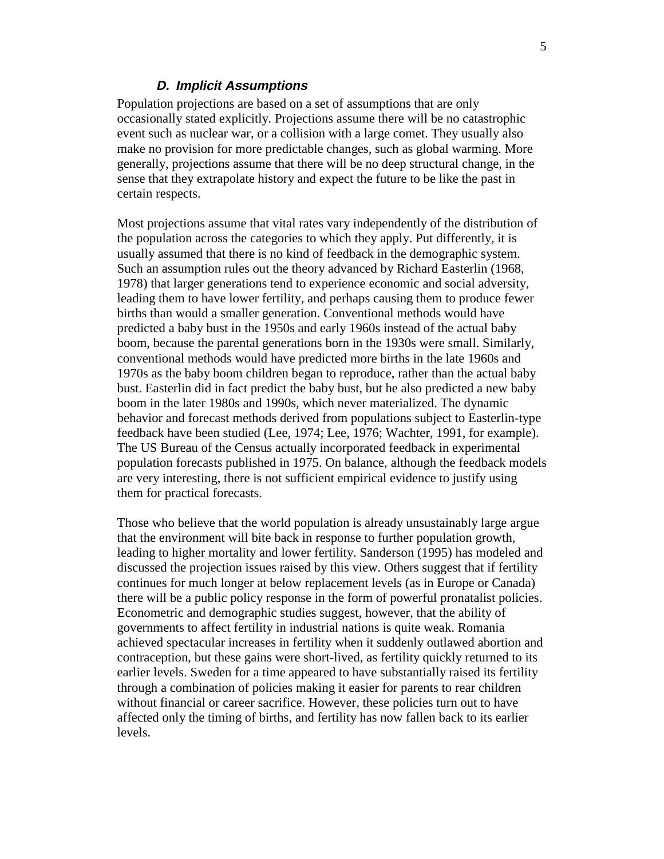#### **D. Implicit Assumptions**

Population projections are based on a set of assumptions that are only occasionally stated explicitly. Projections assume there will be no catastrophic event such as nuclear war, or a collision with a large comet. They usually also make no provision for more predictable changes, such as global warming. More generally, projections assume that there will be no deep structural change, in the sense that they extrapolate history and expect the future to be like the past in certain respects.

Most projections assume that vital rates vary independently of the distribution of the population across the categories to which they apply. Put differently, it is usually assumed that there is no kind of feedback in the demographic system. Such an assumption rules out the theory advanced by Richard Easterlin (1968, 1978) that larger generations tend to experience economic and social adversity, leading them to have lower fertility, and perhaps causing them to produce fewer births than would a smaller generation. Conventional methods would have predicted a baby bust in the 1950s and early 1960s instead of the actual baby boom, because the parental generations born in the 1930s were small. Similarly, conventional methods would have predicted more births in the late 1960s and 1970s as the baby boom children began to reproduce, rather than the actual baby bust. Easterlin did in fact predict the baby bust, but he also predicted a new baby boom in the later 1980s and 1990s, which never materialized. The dynamic behavior and forecast methods derived from populations subject to Easterlin-type feedback have been studied (Lee, 1974; Lee, 1976; Wachter, 1991, for example). The US Bureau of the Census actually incorporated feedback in experimental population forecasts published in 1975. On balance, although the feedback models are very interesting, there is not sufficient empirical evidence to justify using them for practical forecasts.

Those who believe that the world population is already unsustainably large argue that the environment will bite back in response to further population growth, leading to higher mortality and lower fertility. Sanderson (1995) has modeled and discussed the projection issues raised by this view. Others suggest that if fertility continues for much longer at below replacement levels (as in Europe or Canada) there will be a public policy response in the form of powerful pronatalist policies. Econometric and demographic studies suggest, however, that the ability of governments to affect fertility in industrial nations is quite weak. Romania achieved spectacular increases in fertility when it suddenly outlawed abortion and contraception, but these gains were short-lived, as fertility quickly returned to its earlier levels. Sweden for a time appeared to have substantially raised its fertility through a combination of policies making it easier for parents to rear children without financial or career sacrifice. However, these policies turn out to have affected only the timing of births, and fertility has now fallen back to its earlier levels.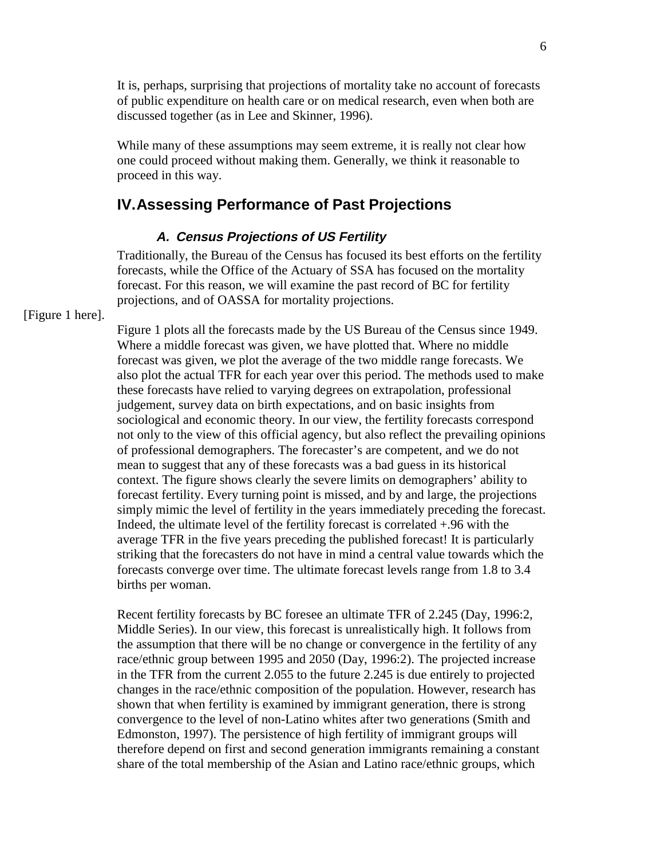It is, perhaps, surprising that projections of mortality take no account of forecasts of public expenditure on health care or on medical research, even when both are discussed together (as in Lee and Skinner, 1996).

While many of these assumptions may seem extreme, it is really not clear how one could proceed without making them. Generally, we think it reasonable to proceed in this way.

## **IV. Assessing Performance of Past Projections**

#### **A. Census Projections of US Fertility**

Traditionally, the Bureau of the Census has focused its best efforts on the fertility forecasts, while the Office of the Actuary of SSA has focused on the mortality forecast. For this reason, we will examine the past record of BC for fertility projections, and of OASSA for mortality projections.

[Figure 1 here].

Figure 1 plots all the forecasts made by the US Bureau of the Census since 1949. Where a middle forecast was given, we have plotted that. Where no middle forecast was given, we plot the average of the two middle range forecasts. We also plot the actual TFR for each year over this period. The methods used to make these forecasts have relied to varying degrees on extrapolation, professional judgement, survey data on birth expectations, and on basic insights from sociological and economic theory. In our view, the fertility forecasts correspond not only to the view of this official agency, but also reflect the prevailing opinions of professional demographers. The forecaster's are competent, and we do not mean to suggest that any of these forecasts was a bad guess in its historical context. The figure shows clearly the severe limits on demographers' ability to forecast fertility. Every turning point is missed, and by and large, the projections simply mimic the level of fertility in the years immediately preceding the forecast. Indeed, the ultimate level of the fertility forecast is correlated +.96 with the average TFR in the five years preceding the published forecast! It is particularly striking that the forecasters do not have in mind a central value towards which the forecasts converge over time. The ultimate forecast levels range from 1.8 to 3.4 births per woman.

Recent fertility forecasts by BC foresee an ultimate TFR of 2.245 (Day, 1996:2, Middle Series). In our view, this forecast is unrealistically high. It follows from the assumption that there will be no change or convergence in the fertility of any race/ethnic group between 1995 and 2050 (Day, 1996:2). The projected increase in the TFR from the current 2.055 to the future 2.245 is due entirely to projected changes in the race/ethnic composition of the population. However, research has shown that when fertility is examined by immigrant generation, there is strong convergence to the level of non-Latino whites after two generations (Smith and Edmonston, 1997). The persistence of high fertility of immigrant groups will therefore depend on first and second generation immigrants remaining a constant share of the total membership of the Asian and Latino race/ethnic groups, which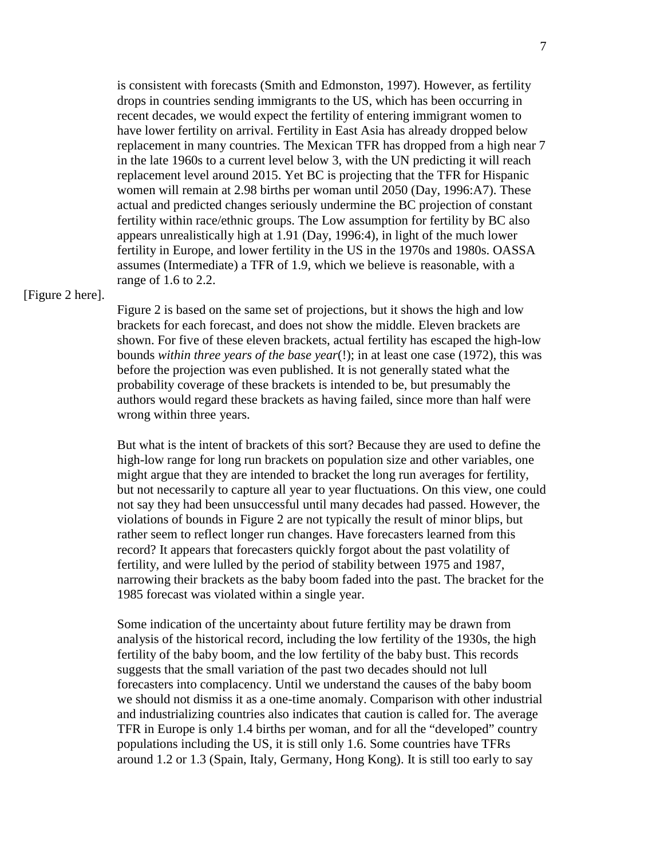is consistent with forecasts (Smith and Edmonston, 1997). However, as fertility drops in countries sending immigrants to the US, which has been occurring in recent decades, we would expect the fertility of entering immigrant women to have lower fertility on arrival. Fertility in East Asia has already dropped below replacement in many countries. The Mexican TFR has dropped from a high near 7 in the late 1960s to a current level below 3, with the UN predicting it will reach replacement level around 2015. Yet BC is projecting that the TFR for Hispanic women will remain at 2.98 births per woman until 2050 (Day, 1996:A7). These actual and predicted changes seriously undermine the BC projection of constant fertility within race/ethnic groups. The Low assumption for fertility by BC also appears unrealistically high at 1.91 (Day, 1996:4), in light of the much lower fertility in Europe, and lower fertility in the US in the 1970s and 1980s. OASSA assumes (Intermediate) a TFR of 1.9, which we believe is reasonable, with a range of 1.6 to 2.2.

#### [Figure 2 here].

Figure 2 is based on the same set of projections, but it shows the high and low brackets for each forecast, and does not show the middle. Eleven brackets are shown. For five of these eleven brackets, actual fertility has escaped the high-low bounds *within three years of the base year*(!); in at least one case (1972), this was before the projection was even published. It is not generally stated what the probability coverage of these brackets is intended to be, but presumably the authors would regard these brackets as having failed, since more than half were wrong within three years.

But what is the intent of brackets of this sort? Because they are used to define the high-low range for long run brackets on population size and other variables, one might argue that they are intended to bracket the long run averages for fertility, but not necessarily to capture all year to year fluctuations. On this view, one could not say they had been unsuccessful until many decades had passed. However, the violations of bounds in Figure 2 are not typically the result of minor blips, but rather seem to reflect longer run changes. Have forecasters learned from this record? It appears that forecasters quickly forgot about the past volatility of fertility, and were lulled by the period of stability between 1975 and 1987, narrowing their brackets as the baby boom faded into the past. The bracket for the 1985 forecast was violated within a single year.

Some indication of the uncertainty about future fertility may be drawn from analysis of the historical record, including the low fertility of the 1930s, the high fertility of the baby boom, and the low fertility of the baby bust. This records suggests that the small variation of the past two decades should not lull forecasters into complacency. Until we understand the causes of the baby boom we should not dismiss it as a one-time anomaly. Comparison with other industrial and industrializing countries also indicates that caution is called for. The average TFR in Europe is only 1.4 births per woman, and for all the "developed" country populations including the US, it is still only 1.6. Some countries have TFRs around 1.2 or 1.3 (Spain, Italy, Germany, Hong Kong). It is still too early to say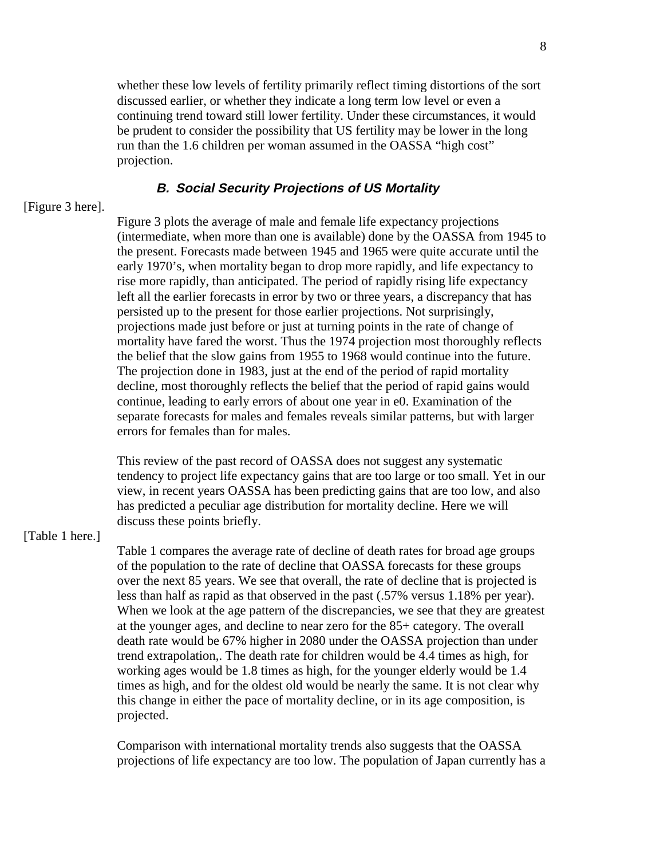whether these low levels of fertility primarily reflect timing distortions of the sort discussed earlier, or whether they indicate a long term low level or even a continuing trend toward still lower fertility. Under these circumstances, it would be prudent to consider the possibility that US fertility may be lower in the long run than the 1.6 children per woman assumed in the OASSA "high cost" projection.

## **B. Social Security Projections of US Mortality**

#### [Figure 3 here].

Figure 3 plots the average of male and female life expectancy projections (intermediate, when more than one is available) done by the OASSA from 1945 to the present. Forecasts made between 1945 and 1965 were quite accurate until the early 1970's, when mortality began to drop more rapidly, and life expectancy to rise more rapidly, than anticipated. The period of rapidly rising life expectancy left all the earlier forecasts in error by two or three years, a discrepancy that has persisted up to the present for those earlier projections. Not surprisingly, projections made just before or just at turning points in the rate of change of mortality have fared the worst. Thus the 1974 projection most thoroughly reflects the belief that the slow gains from 1955 to 1968 would continue into the future. The projection done in 1983, just at the end of the period of rapid mortality decline, most thoroughly reflects the belief that the period of rapid gains would continue, leading to early errors of about one year in e0. Examination of the separate forecasts for males and females reveals similar patterns, but with larger errors for females than for males.

This review of the past record of OASSA does not suggest any systematic tendency to project life expectancy gains that are too large or too small. Yet in our view, in recent years OASSA has been predicting gains that are too low, and also has predicted a peculiar age distribution for mortality decline. Here we will discuss these points briefly.

[Table 1 here.]

Table 1 compares the average rate of decline of death rates for broad age groups of the population to the rate of decline that OASSA forecasts for these groups over the next 85 years. We see that overall, the rate of decline that is projected is less than half as rapid as that observed in the past (.57% versus 1.18% per year). When we look at the age pattern of the discrepancies, we see that they are greatest at the younger ages, and decline to near zero for the 85+ category. The overall death rate would be 67% higher in 2080 under the OASSA projection than under trend extrapolation,. The death rate for children would be 4.4 times as high, for working ages would be 1.8 times as high, for the younger elderly would be 1.4 times as high, and for the oldest old would be nearly the same. It is not clear why this change in either the pace of mortality decline, or in its age composition, is projected.

Comparison with international mortality trends also suggests that the OASSA projections of life expectancy are too low. The population of Japan currently has a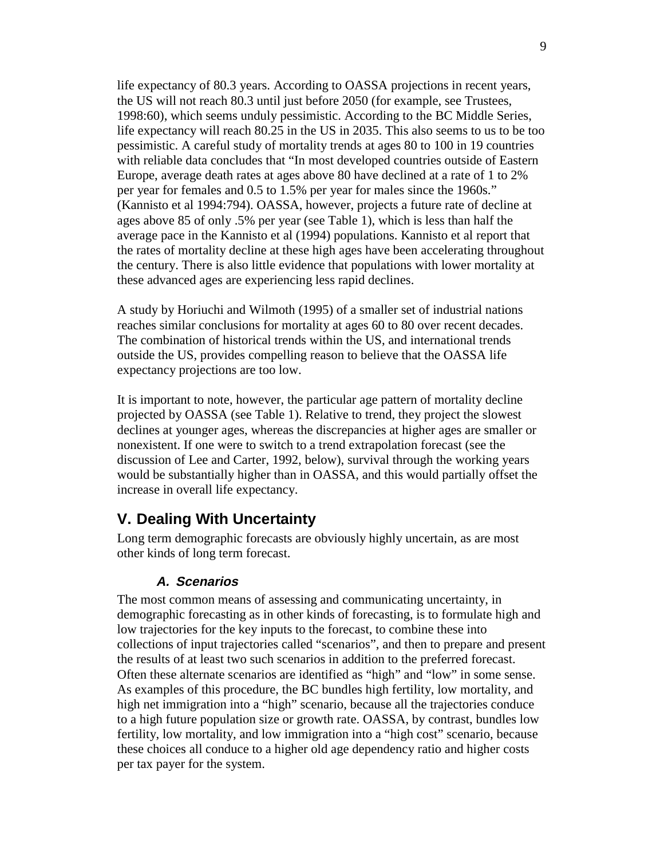life expectancy of 80.3 years. According to OASSA projections in recent years, the US will not reach 80.3 until just before 2050 (for example, see Trustees, 1998:60), which seems unduly pessimistic. According to the BC Middle Series, life expectancy will reach 80.25 in the US in 2035. This also seems to us to be too pessimistic. A careful study of mortality trends at ages 80 to 100 in 19 countries with reliable data concludes that "In most developed countries outside of Eastern Europe, average death rates at ages above 80 have declined at a rate of 1 to 2% per year for females and 0.5 to 1.5% per year for males since the 1960s." (Kannisto et al 1994:794). OASSA, however, projects a future rate of decline at ages above 85 of only .5% per year (see Table 1), which is less than half the average pace in the Kannisto et al (1994) populations. Kannisto et al report that the rates of mortality decline at these high ages have been accelerating throughout the century. There is also little evidence that populations with lower mortality at these advanced ages are experiencing less rapid declines.

A study by Horiuchi and Wilmoth (1995) of a smaller set of industrial nations reaches similar conclusions for mortality at ages 60 to 80 over recent decades. The combination of historical trends within the US, and international trends outside the US, provides compelling reason to believe that the OASSA life expectancy projections are too low.

It is important to note, however, the particular age pattern of mortality decline projected by OASSA (see Table 1). Relative to trend, they project the slowest declines at younger ages, whereas the discrepancies at higher ages are smaller or nonexistent. If one were to switch to a trend extrapolation forecast (see the discussion of Lee and Carter, 1992, below), survival through the working years would be substantially higher than in OASSA, and this would partially offset the increase in overall life expectancy.

## **V. Dealing With Uncertainty**

Long term demographic forecasts are obviously highly uncertain, as are most other kinds of long term forecast.

## **A. Scenarios**

The most common means of assessing and communicating uncertainty, in demographic forecasting as in other kinds of forecasting, is to formulate high and low trajectories for the key inputs to the forecast, to combine these into collections of input trajectories called "scenarios", and then to prepare and present the results of at least two such scenarios in addition to the preferred forecast. Often these alternate scenarios are identified as "high" and "low" in some sense. As examples of this procedure, the BC bundles high fertility, low mortality, and high net immigration into a "high" scenario, because all the trajectories conduce to a high future population size or growth rate. OASSA, by contrast, bundles low fertility, low mortality, and low immigration into a "high cost" scenario, because these choices all conduce to a higher old age dependency ratio and higher costs per tax payer for the system.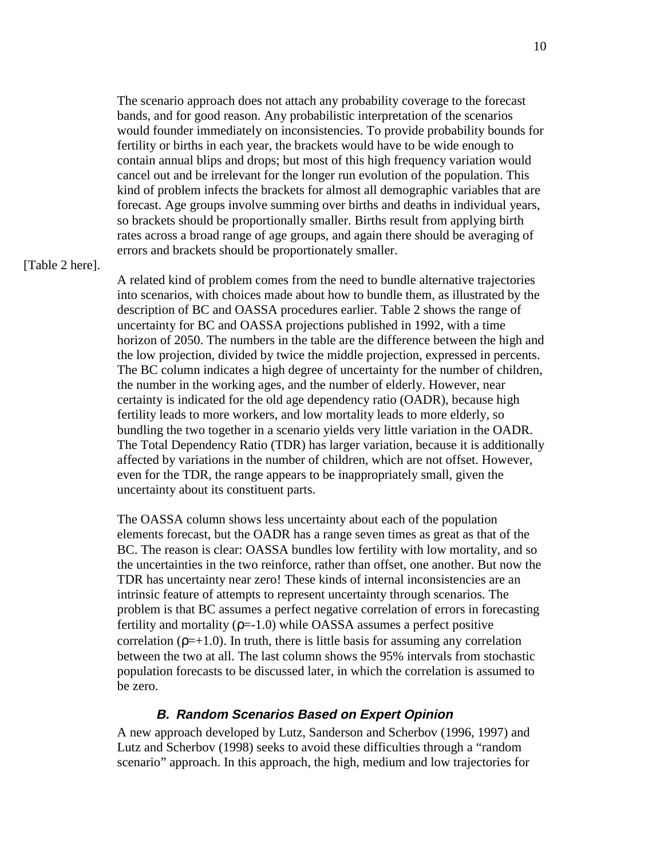The scenario approach does not attach any probability coverage to the forecast bands, and for good reason. Any probabilistic interpretation of the scenarios would founder immediately on inconsistencies. To provide probability bounds for fertility or births in each year, the brackets would have to be wide enough to contain annual blips and drops; but most of this high frequency variation would cancel out and be irrelevant for the longer run evolution of the population. This kind of problem infects the brackets for almost all demographic variables that are forecast. Age groups involve summing over births and deaths in individual years, so brackets should be proportionally smaller. Births result from applying birth rates across a broad range of age groups, and again there should be averaging of errors and brackets should be proportionately smaller.

#### [Table 2 here].

A related kind of problem comes from the need to bundle alternative trajectories into scenarios, with choices made about how to bundle them, as illustrated by the description of BC and OASSA procedures earlier. Table 2 shows the range of uncertainty for BC and OASSA projections published in 1992, with a time horizon of 2050. The numbers in the table are the difference between the high and the low projection, divided by twice the middle projection, expressed in percents. The BC column indicates a high degree of uncertainty for the number of children, the number in the working ages, and the number of elderly. However, near certainty is indicated for the old age dependency ratio (OADR), because high fertility leads to more workers, and low mortality leads to more elderly, so bundling the two together in a scenario yields very little variation in the OADR. The Total Dependency Ratio (TDR) has larger variation, because it is additionally affected by variations in the number of children, which are not offset. However, even for the TDR, the range appears to be inappropriately small, given the uncertainty about its constituent parts.

The OASSA column shows less uncertainty about each of the population elements forecast, but the OADR has a range seven times as great as that of the BC. The reason is clear: OASSA bundles low fertility with low mortality, and so the uncertainties in the two reinforce, rather than offset, one another. But now the TDR has uncertainty near zero! These kinds of internal inconsistencies are an intrinsic feature of attempts to represent uncertainty through scenarios. The problem is that BC assumes a perfect negative correlation of errors in forecasting fertility and mortality  $(\rho = -1.0)$  while OASSA assumes a perfect positive correlation ( $\rho=+1.0$ ). In truth, there is little basis for assuming any correlation between the two at all. The last column shows the 95% intervals from stochastic population forecasts to be discussed later, in which the correlation is assumed to be zero.

#### **B. Random Scenarios Based on Expert Opinion**

A new approach developed by Lutz, Sanderson and Scherbov (1996, 1997) and Lutz and Scherbov (1998) seeks to avoid these difficulties through a "random scenario" approach. In this approach, the high, medium and low trajectories for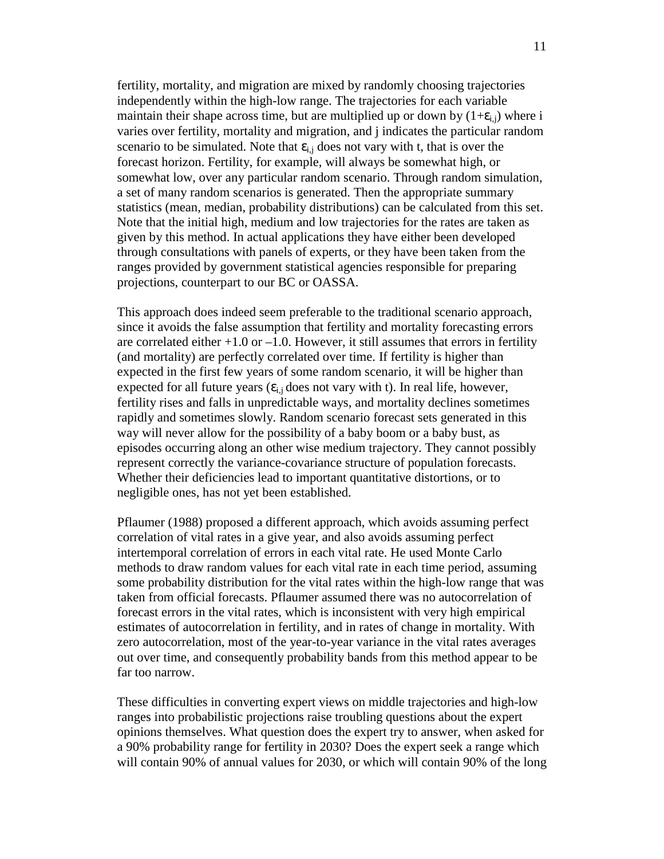fertility, mortality, and migration are mixed by randomly choosing trajectories independently within the high-low range. The trajectories for each variable maintain their shape across time, but are multiplied up or down by  $(1+\epsilon_{i,j})$  where i varies over fertility, mortality and migration, and j indicates the particular random scenario to be simulated. Note that  $\varepsilon_{i,j}$  does not vary with t, that is over the forecast horizon. Fertility, for example, will always be somewhat high, or somewhat low, over any particular random scenario. Through random simulation, a set of many random scenarios is generated. Then the appropriate summary statistics (mean, median, probability distributions) can be calculated from this set. Note that the initial high, medium and low trajectories for the rates are taken as given by this method. In actual applications they have either been developed through consultations with panels of experts, or they have been taken from the ranges provided by government statistical agencies responsible for preparing projections, counterpart to our BC or OASSA.

This approach does indeed seem preferable to the traditional scenario approach, since it avoids the false assumption that fertility and mortality forecasting errors are correlated either  $+1.0$  or  $-1.0$ . However, it still assumes that errors in fertility (and mortality) are perfectly correlated over time. If fertility is higher than expected in the first few years of some random scenario, it will be higher than expected for all future years  $(\epsilon_{i,j}$  does not vary with t). In real life, however, fertility rises and falls in unpredictable ways, and mortality declines sometimes rapidly and sometimes slowly. Random scenario forecast sets generated in this way will never allow for the possibility of a baby boom or a baby bust, as episodes occurring along an other wise medium trajectory. They cannot possibly represent correctly the variance-covariance structure of population forecasts. Whether their deficiencies lead to important quantitative distortions, or to negligible ones, has not yet been established.

Pflaumer (1988) proposed a different approach, which avoids assuming perfect correlation of vital rates in a give year, and also avoids assuming perfect intertemporal correlation of errors in each vital rate. He used Monte Carlo methods to draw random values for each vital rate in each time period, assuming some probability distribution for the vital rates within the high-low range that was taken from official forecasts. Pflaumer assumed there was no autocorrelation of forecast errors in the vital rates, which is inconsistent with very high empirical estimates of autocorrelation in fertility, and in rates of change in mortality. With zero autocorrelation, most of the year-to-year variance in the vital rates averages out over time, and consequently probability bands from this method appear to be far too narrow.

These difficulties in converting expert views on middle trajectories and high-low ranges into probabilistic projections raise troubling questions about the expert opinions themselves. What question does the expert try to answer, when asked for a 90% probability range for fertility in 2030? Does the expert seek a range which will contain 90% of annual values for 2030, or which will contain 90% of the long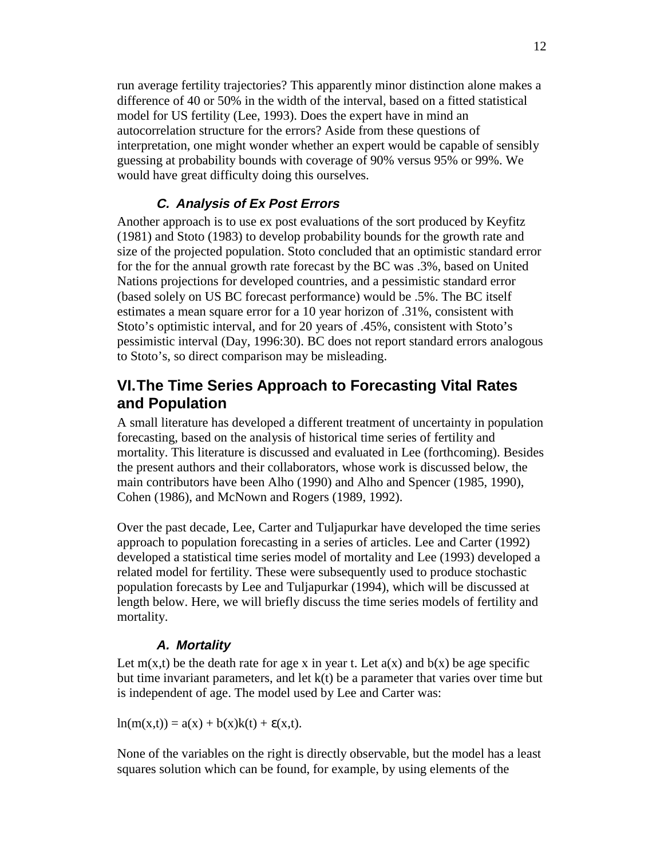run average fertility trajectories? This apparently minor distinction alone makes a difference of 40 or 50% in the width of the interval, based on a fitted statistical model for US fertility (Lee, 1993). Does the expert have in mind an autocorrelation structure for the errors? Aside from these questions of interpretation, one might wonder whether an expert would be capable of sensibly guessing at probability bounds with coverage of 90% versus 95% or 99%. We would have great difficulty doing this ourselves.

#### **C. Analysis of Ex Post Errors**

Another approach is to use ex post evaluations of the sort produced by Keyfitz (1981) and Stoto (1983) to develop probability bounds for the growth rate and size of the projected population. Stoto concluded that an optimistic standard error for the for the annual growth rate forecast by the BC was .3%, based on United Nations projections for developed countries, and a pessimistic standard error (based solely on US BC forecast performance) would be .5%. The BC itself estimates a mean square error for a 10 year horizon of .31%, consistent with Stoto's optimistic interval, and for 20 years of .45%, consistent with Stoto's pessimistic interval (Day, 1996:30). BC does not report standard errors analogous to Stoto's, so direct comparison may be misleading.

## **VI. The Time Series Approach to Forecasting Vital Rates and Population**

A small literature has developed a different treatment of uncertainty in population forecasting, based on the analysis of historical time series of fertility and mortality. This literature is discussed and evaluated in Lee (forthcoming). Besides the present authors and their collaborators, whose work is discussed below, the main contributors have been Alho (1990) and Alho and Spencer (1985, 1990), Cohen (1986), and McNown and Rogers (1989, 1992).

Over the past decade, Lee, Carter and Tuljapurkar have developed the time series approach to population forecasting in a series of articles. Lee and Carter (1992) developed a statistical time series model of mortality and Lee (1993) developed a related model for fertility. These were subsequently used to produce stochastic population forecasts by Lee and Tuljapurkar (1994), which will be discussed at length below. Here, we will briefly discuss the time series models of fertility and mortality.

#### **A. Mortality**

Let  $m(x,t)$  be the death rate for age x in year t. Let  $a(x)$  and  $b(x)$  be age specific but time invariant parameters, and let  $k(t)$  be a parameter that varies over time but is independent of age. The model used by Lee and Carter was:

 $ln(m(x,t)) = a(x) + b(x)k(t) + \varepsilon(x,t).$ 

None of the variables on the right is directly observable, but the model has a least squares solution which can be found, for example, by using elements of the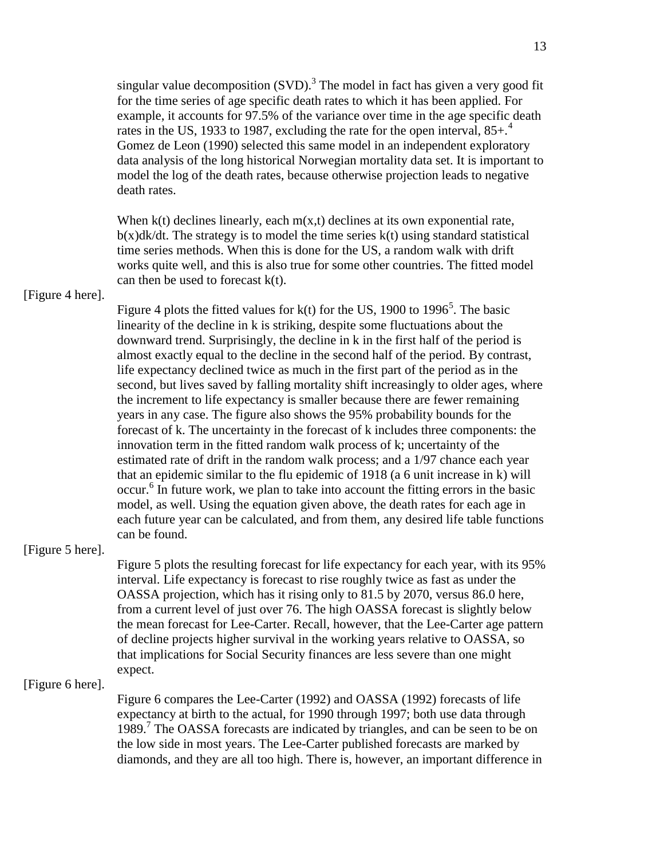singular value decomposition (SVD).<sup>3</sup> The model in fact has given a very good fit for the time series of age specific death rates to which it has been applied. For example, it accounts for 97.5% of the variance over time in the age specific death rates in the US, 1933 to 1987, excluding the rate for the open interval,  $85^{+1}$ . Gomez de Leon (1990) selected this same model in an independent exploratory data analysis of the long historical Norwegian mortality data set. It is important to model the log of the death rates, because otherwise projection leads to negative death rates.

When  $k(t)$  declines linearly, each  $m(x,t)$  declines at its own exponential rate,  $b(x)$ dk/dt. The strategy is to model the time series  $k(t)$  using standard statistical time series methods. When this is done for the US, a random walk with drift works quite well, and this is also true for some other countries. The fitted model can then be used to forecast  $k(t)$ .

#### [Figure 4 here].

Figure 4 plots the fitted values for  $k(t)$  for the US, 1900 to 1996<sup>5</sup>. The basic linearity of the decline in k is striking, despite some fluctuations about the downward trend. Surprisingly, the decline in k in the first half of the period is almost exactly equal to the decline in the second half of the period. By contrast, life expectancy declined twice as much in the first part of the period as in the second, but lives saved by falling mortality shift increasingly to older ages, where the increment to life expectancy is smaller because there are fewer remaining years in any case. The figure also shows the 95% probability bounds for the forecast of k. The uncertainty in the forecast of k includes three components: the innovation term in the fitted random walk process of k; uncertainty of the estimated rate of drift in the random walk process; and a 1/97 chance each year that an epidemic similar to the flu epidemic of 1918 (a 6 unit increase in k) will occur.<sup>6</sup> In future work, we plan to take into account the fitting errors in the basic model, as well. Using the equation given above, the death rates for each age in each future year can be calculated, and from them, any desired life table functions can be found.

[Figure 5 here].

Figure 5 plots the resulting forecast for life expectancy for each year, with its 95% interval. Life expectancy is forecast to rise roughly twice as fast as under the OASSA projection, which has it rising only to 81.5 by 2070, versus 86.0 here, from a current level of just over 76. The high OASSA forecast is slightly below the mean forecast for Lee-Carter. Recall, however, that the Lee-Carter age pattern of decline projects higher survival in the working years relative to OASSA, so that implications for Social Security finances are less severe than one might expect.

[Figure 6 here].

Figure 6 compares the Lee-Carter (1992) and OASSA (1992) forecasts of life expectancy at birth to the actual, for 1990 through 1997; both use data through 1989.<sup>7</sup> The OASSA forecasts are indicated by triangles, and can be seen to be on the low side in most years. The Lee-Carter published forecasts are marked by diamonds, and they are all too high. There is, however, an important difference in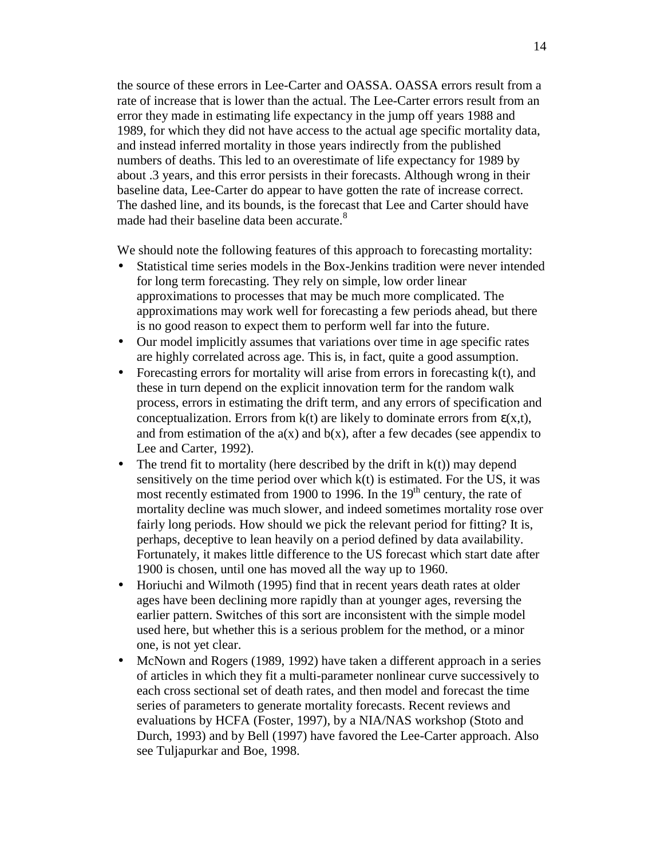the source of these errors in Lee-Carter and OASSA. OASSA errors result from a rate of increase that is lower than the actual. The Lee-Carter errors result from an error they made in estimating life expectancy in the jump off years 1988 and 1989, for which they did not have access to the actual age specific mortality data, and instead inferred mortality in those years indirectly from the published numbers of deaths. This led to an overestimate of life expectancy for 1989 by about .3 years, and this error persists in their forecasts. Although wrong in their baseline data, Lee-Carter do appear to have gotten the rate of increase correct. The dashed line, and its bounds, is the forecast that Lee and Carter should have made had their baseline data been accurate.<sup>8</sup>

We should note the following features of this approach to forecasting mortality:

- Statistical time series models in the Box-Jenkins tradition were never intended for long term forecasting. They rely on simple, low order linear approximations to processes that may be much more complicated. The approximations may work well for forecasting a few periods ahead, but there is no good reason to expect them to perform well far into the future.
- Our model implicitly assumes that variations over time in age specific rates are highly correlated across age. This is, in fact, quite a good assumption.
- Forecasting errors for mortality will arise from errors in forecasting  $k(t)$ , and these in turn depend on the explicit innovation term for the random walk process, errors in estimating the drift term, and any errors of specification and conceptualization. Errors from  $k(t)$  are likely to dominate errors from  $\epsilon(x,t)$ , and from estimation of the  $a(x)$  and  $b(x)$ , after a few decades (see appendix to Lee and Carter, 1992).
- The trend fit to mortality (here described by the drift in  $k(t)$ ) may depend sensitively on the time period over which  $k(t)$  is estimated. For the US, it was most recently estimated from 1900 to 1996. In the  $19<sup>th</sup>$  century, the rate of mortality decline was much slower, and indeed sometimes mortality rose over fairly long periods. How should we pick the relevant period for fitting? It is, perhaps, deceptive to lean heavily on a period defined by data availability. Fortunately, it makes little difference to the US forecast which start date after 1900 is chosen, until one has moved all the way up to 1960.
- Horiuchi and Wilmoth (1995) find that in recent years death rates at older ages have been declining more rapidly than at younger ages, reversing the earlier pattern. Switches of this sort are inconsistent with the simple model used here, but whether this is a serious problem for the method, or a minor one, is not yet clear.
- McNown and Rogers (1989, 1992) have taken a different approach in a series of articles in which they fit a multi-parameter nonlinear curve successively to each cross sectional set of death rates, and then model and forecast the time series of parameters to generate mortality forecasts. Recent reviews and evaluations by HCFA (Foster, 1997), by a NIA/NAS workshop (Stoto and Durch, 1993) and by Bell (1997) have favored the Lee-Carter approach. Also see Tuljapurkar and Boe, 1998.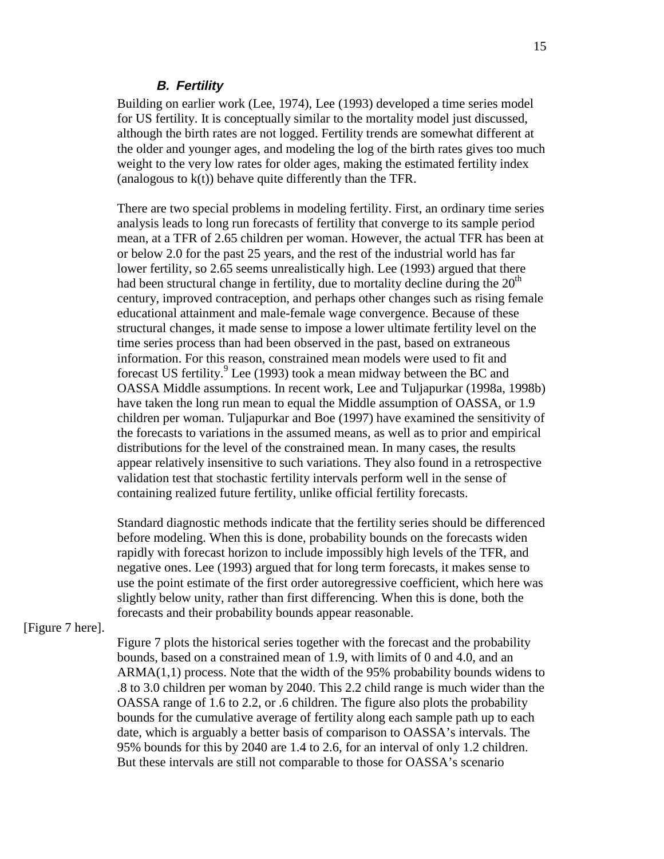#### **B. Fertility**

Building on earlier work (Lee, 1974), Lee (1993) developed a time series model for US fertility. It is conceptually similar to the mortality model just discussed, although the birth rates are not logged. Fertility trends are somewhat different at the older and younger ages, and modeling the log of the birth rates gives too much weight to the very low rates for older ages, making the estimated fertility index (analogous to  $k(t)$ ) behave quite differently than the TFR.

There are two special problems in modeling fertility. First, an ordinary time series analysis leads to long run forecasts of fertility that converge to its sample period mean, at a TFR of 2.65 children per woman. However, the actual TFR has been at or below 2.0 for the past 25 years, and the rest of the industrial world has far lower fertility, so 2.65 seems unrealistically high. Lee (1993) argued that there had been structural change in fertility, due to mortality decline during the  $20<sup>th</sup>$ century, improved contraception, and perhaps other changes such as rising female educational attainment and male-female wage convergence. Because of these structural changes, it made sense to impose a lower ultimate fertility level on the time series process than had been observed in the past, based on extraneous information. For this reason, constrained mean models were used to fit and forecast US fertility. $^{9}$  Lee (1993) took a mean midway between the BC and OASSA Middle assumptions. In recent work, Lee and Tuljapurkar (1998a, 1998b) have taken the long run mean to equal the Middle assumption of OASSA, or 1.9 children per woman. Tuljapurkar and Boe (1997) have examined the sensitivity of the forecasts to variations in the assumed means, as well as to prior and empirical distributions for the level of the constrained mean. In many cases, the results appear relatively insensitive to such variations. They also found in a retrospective validation test that stochastic fertility intervals perform well in the sense of containing realized future fertility, unlike official fertility forecasts.

Standard diagnostic methods indicate that the fertility series should be differenced before modeling. When this is done, probability bounds on the forecasts widen rapidly with forecast horizon to include impossibly high levels of the TFR, and negative ones. Lee (1993) argued that for long term forecasts, it makes sense to use the point estimate of the first order autoregressive coefficient, which here was slightly below unity, rather than first differencing. When this is done, both the forecasts and their probability bounds appear reasonable.

[Figure 7 here].

Figure 7 plots the historical series together with the forecast and the probability bounds, based on a constrained mean of 1.9, with limits of 0 and 4.0, and an ARMA(1,1) process. Note that the width of the 95% probability bounds widens to .8 to 3.0 children per woman by 2040. This 2.2 child range is much wider than the OASSA range of 1.6 to 2.2, or .6 children. The figure also plots the probability bounds for the cumulative average of fertility along each sample path up to each date, which is arguably a better basis of comparison to OASSA's intervals. The 95% bounds for this by 2040 are 1.4 to 2.6, for an interval of only 1.2 children. But these intervals are still not comparable to those for OASSA's scenario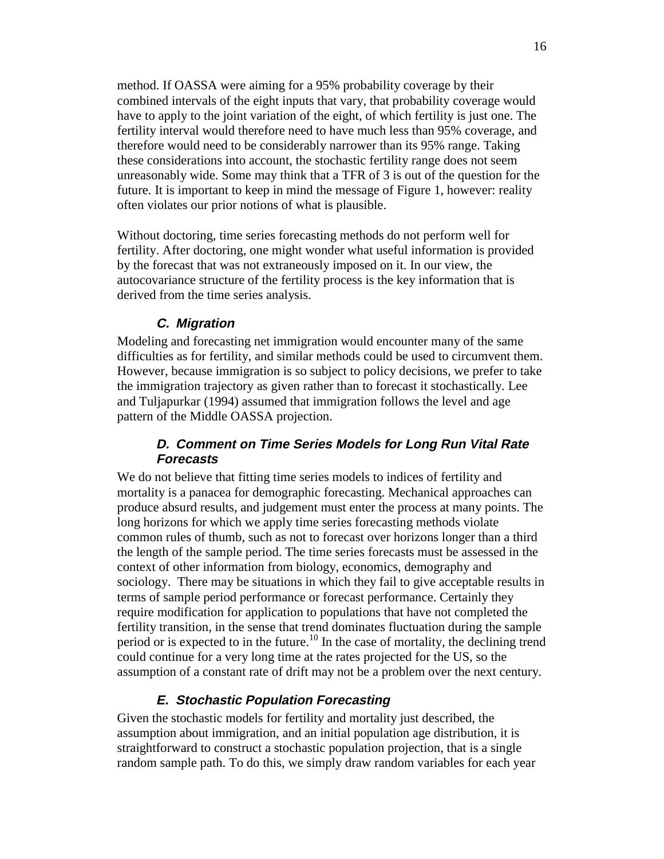method. If OASSA were aiming for a 95% probability coverage by their combined intervals of the eight inputs that vary, that probability coverage would have to apply to the joint variation of the eight, of which fertility is just one. The fertility interval would therefore need to have much less than 95% coverage, and therefore would need to be considerably narrower than its 95% range. Taking these considerations into account, the stochastic fertility range does not seem unreasonably wide. Some may think that a TFR of 3 is out of the question for the future. It is important to keep in mind the message of Figure 1, however: reality often violates our prior notions of what is plausible.

Without doctoring, time series forecasting methods do not perform well for fertility. After doctoring, one might wonder what useful information is provided by the forecast that was not extraneously imposed on it. In our view, the autocovariance structure of the fertility process is the key information that is derived from the time series analysis.

#### **C. Migration**

Modeling and forecasting net immigration would encounter many of the same difficulties as for fertility, and similar methods could be used to circumvent them. However, because immigration is so subject to policy decisions, we prefer to take the immigration trajectory as given rather than to forecast it stochastically. Lee and Tuljapurkar (1994) assumed that immigration follows the level and age pattern of the Middle OASSA projection.

#### **D. Comment on Time Series Models for Long Run Vital Rate Forecasts**

We do not believe that fitting time series models to indices of fertility and mortality is a panacea for demographic forecasting. Mechanical approaches can produce absurd results, and judgement must enter the process at many points. The long horizons for which we apply time series forecasting methods violate common rules of thumb, such as not to forecast over horizons longer than a third the length of the sample period. The time series forecasts must be assessed in the context of other information from biology, economics, demography and sociology. There may be situations in which they fail to give acceptable results in terms of sample period performance or forecast performance. Certainly they require modification for application to populations that have not completed the fertility transition, in the sense that trend dominates fluctuation during the sample period or is expected to in the future.<sup>10</sup> In the case of mortality, the declining trend could continue for a very long time at the rates projected for the US, so the assumption of a constant rate of drift may not be a problem over the next century.

## **E. Stochastic Population Forecasting**

Given the stochastic models for fertility and mortality just described, the assumption about immigration, and an initial population age distribution, it is straightforward to construct a stochastic population projection, that is a single random sample path. To do this, we simply draw random variables for each year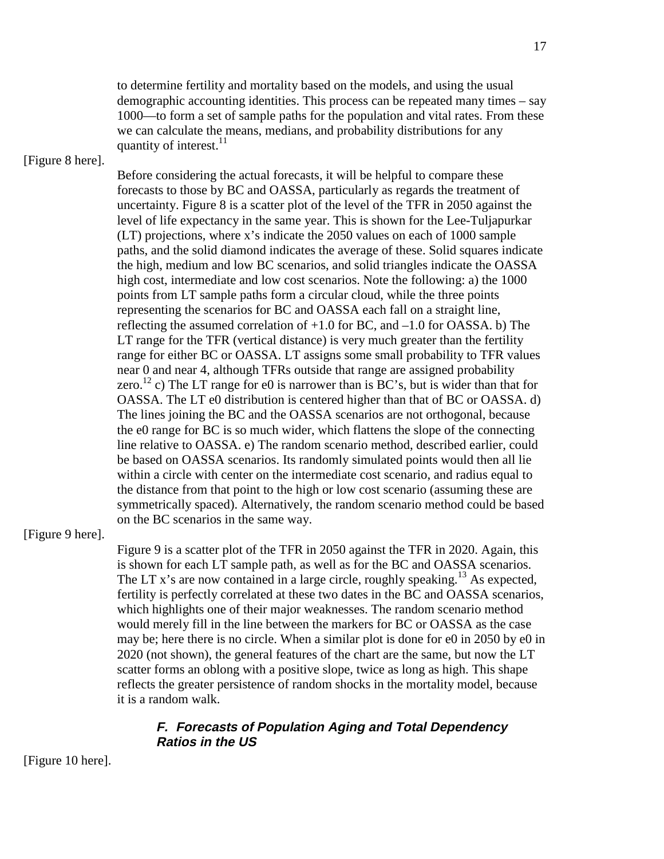to determine fertility and mortality based on the models, and using the usual demographic accounting identities. This process can be repeated many times – say 1000—to form a set of sample paths for the population and vital rates. From these we can calculate the means, medians, and probability distributions for any quantity of interest.<sup>11</sup>

[Figure 8 here].

Before considering the actual forecasts, it will be helpful to compare these forecasts to those by BC and OASSA, particularly as regards the treatment of uncertainty. Figure 8 is a scatter plot of the level of the TFR in 2050 against the level of life expectancy in the same year. This is shown for the Lee-Tuljapurkar (LT) projections, where x's indicate the 2050 values on each of 1000 sample paths, and the solid diamond indicates the average of these. Solid squares indicate the high, medium and low BC scenarios, and solid triangles indicate the OASSA high cost, intermediate and low cost scenarios. Note the following: a) the 1000 points from LT sample paths form a circular cloud, while the three points representing the scenarios for BC and OASSA each fall on a straight line, reflecting the assumed correlation of  $+1.0$  for BC, and  $-1.0$  for OASSA. b) The LT range for the TFR (vertical distance) is very much greater than the fertility range for either BC or OASSA. LT assigns some small probability to TFR values near 0 and near 4, although TFRs outside that range are assigned probability zero.<sup>12</sup> c) The LT range for e0 is narrower than is BC's, but is wider than that for OASSA. The LT e0 distribution is centered higher than that of BC or OASSA. d) The lines joining the BC and the OASSA scenarios are not orthogonal, because the e0 range for BC is so much wider, which flattens the slope of the connecting line relative to OASSA. e) The random scenario method, described earlier, could be based on OASSA scenarios. Its randomly simulated points would then all lie within a circle with center on the intermediate cost scenario, and radius equal to the distance from that point to the high or low cost scenario (assuming these are symmetrically spaced). Alternatively, the random scenario method could be based on the BC scenarios in the same way.

[Figure 9 here].

Figure 9 is a scatter plot of the TFR in 2050 against the TFR in 2020. Again, this is shown for each LT sample path, as well as for the BC and OASSA scenarios. The LT x's are now contained in a large circle, roughly speaking.<sup>13</sup> As expected, fertility is perfectly correlated at these two dates in the BC and OASSA scenarios, which highlights one of their major weaknesses. The random scenario method would merely fill in the line between the markers for BC or OASSA as the case may be; here there is no circle. When a similar plot is done for e0 in 2050 by e0 in 2020 (not shown), the general features of the chart are the same, but now the LT scatter forms an oblong with a positive slope, twice as long as high. This shape reflects the greater persistence of random shocks in the mortality model, because it is a random walk.

#### **F. Forecasts of Population Aging and Total Dependency Ratios in the US**

[Figure 10 here].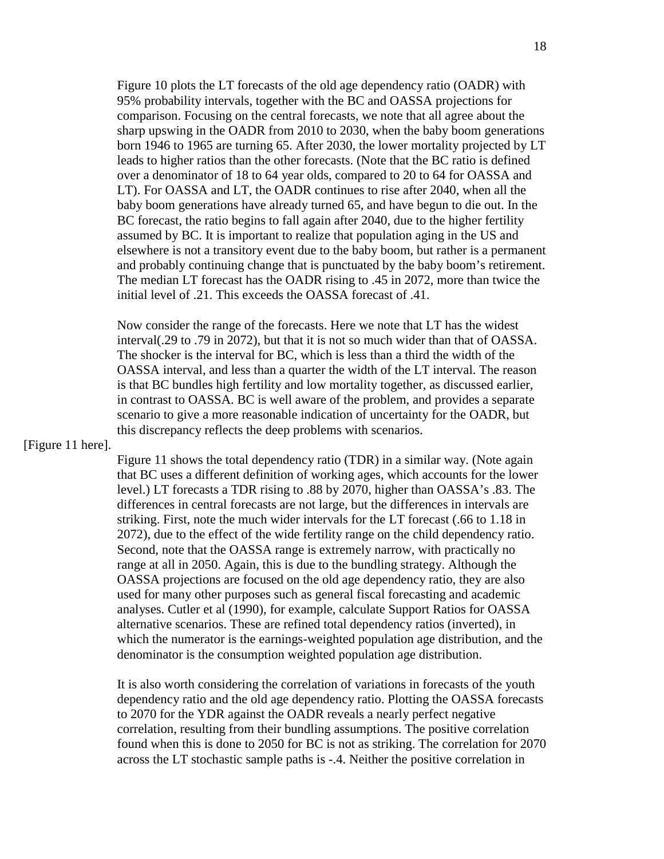Figure 10 plots the LT forecasts of the old age dependency ratio (OADR) with 95% probability intervals, together with the BC and OASSA projections for comparison. Focusing on the central forecasts, we note that all agree about the sharp upswing in the OADR from 2010 to 2030, when the baby boom generations born 1946 to 1965 are turning 65. After 2030, the lower mortality projected by LT leads to higher ratios than the other forecasts. (Note that the BC ratio is defined over a denominator of 18 to 64 year olds, compared to 20 to 64 for OASSA and LT). For OASSA and LT, the OADR continues to rise after 2040, when all the baby boom generations have already turned 65, and have begun to die out. In the BC forecast, the ratio begins to fall again after 2040, due to the higher fertility assumed by BC. It is important to realize that population aging in the US and elsewhere is not a transitory event due to the baby boom, but rather is a permanent and probably continuing change that is punctuated by the baby boom's retirement. The median LT forecast has the OADR rising to .45 in 2072, more than twice the initial level of .21. This exceeds the OASSA forecast of .41.

Now consider the range of the forecasts. Here we note that LT has the widest interval(.29 to .79 in 2072), but that it is not so much wider than that of OASSA. The shocker is the interval for BC, which is less than a third the width of the OASSA interval, and less than a quarter the width of the LT interval. The reason is that BC bundles high fertility and low mortality together, as discussed earlier, in contrast to OASSA. BC is well aware of the problem, and provides a separate scenario to give a more reasonable indication of uncertainty for the OADR, but this discrepancy reflects the deep problems with scenarios.

#### [Figure 11 here].

Figure 11 shows the total dependency ratio (TDR) in a similar way. (Note again that BC uses a different definition of working ages, which accounts for the lower level.) LT forecasts a TDR rising to .88 by 2070, higher than OASSA's .83. The differences in central forecasts are not large, but the differences in intervals are striking. First, note the much wider intervals for the LT forecast (.66 to 1.18 in 2072), due to the effect of the wide fertility range on the child dependency ratio. Second, note that the OASSA range is extremely narrow, with practically no range at all in 2050. Again, this is due to the bundling strategy. Although the OASSA projections are focused on the old age dependency ratio, they are also used for many other purposes such as general fiscal forecasting and academic analyses. Cutler et al (1990), for example, calculate Support Ratios for OASSA alternative scenarios. These are refined total dependency ratios (inverted), in which the numerator is the earnings-weighted population age distribution, and the denominator is the consumption weighted population age distribution.

It is also worth considering the correlation of variations in forecasts of the youth dependency ratio and the old age dependency ratio. Plotting the OASSA forecasts to 2070 for the YDR against the OADR reveals a nearly perfect negative correlation, resulting from their bundling assumptions. The positive correlation found when this is done to 2050 for BC is not as striking. The correlation for 2070 across the LT stochastic sample paths is -.4. Neither the positive correlation in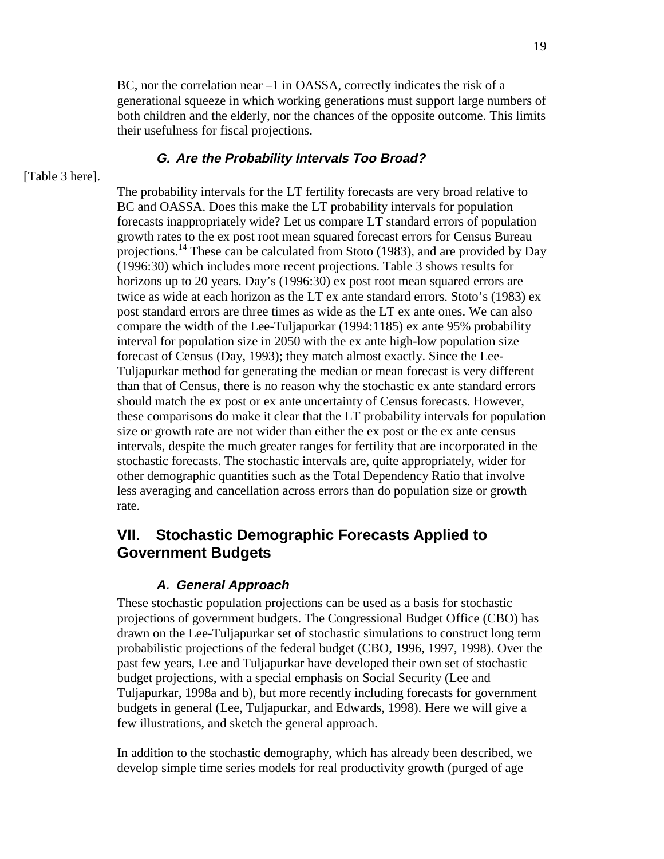BC, nor the correlation near –1 in OASSA, correctly indicates the risk of a generational squeeze in which working generations must support large numbers of both children and the elderly, nor the chances of the opposite outcome. This limits their usefulness for fiscal projections.

#### **G. Are the Probability Intervals Too Broad?**

#### [Table 3 here].

The probability intervals for the LT fertility forecasts are very broad relative to BC and OASSA. Does this make the LT probability intervals for population forecasts inappropriately wide? Let us compare LT standard errors of population growth rates to the ex post root mean squared forecast errors for Census Bureau projections.<sup>14</sup> These can be calculated from Stoto (1983), and are provided by Day (1996:30) which includes more recent projections. Table 3 shows results for horizons up to 20 years. Day's (1996:30) ex post root mean squared errors are twice as wide at each horizon as the LT ex ante standard errors. Stoto's (1983) ex post standard errors are three times as wide as the LT ex ante ones. We can also compare the width of the Lee-Tuljapurkar (1994:1185) ex ante 95% probability interval for population size in 2050 with the ex ante high-low population size forecast of Census (Day, 1993); they match almost exactly. Since the Lee-Tuljapurkar method for generating the median or mean forecast is very different than that of Census, there is no reason why the stochastic ex ante standard errors should match the ex post or ex ante uncertainty of Census forecasts. However, these comparisons do make it clear that the LT probability intervals for population size or growth rate are not wider than either the ex post or the ex ante census intervals, despite the much greater ranges for fertility that are incorporated in the stochastic forecasts. The stochastic intervals are, quite appropriately, wider for other demographic quantities such as the Total Dependency Ratio that involve less averaging and cancellation across errors than do population size or growth rate.

## **VII. Stochastic Demographic Forecasts Applied to Government Budgets**

#### **A. General Approach**

These stochastic population projections can be used as a basis for stochastic projections of government budgets. The Congressional Budget Office (CBO) has drawn on the Lee-Tuljapurkar set of stochastic simulations to construct long term probabilistic projections of the federal budget (CBO, 1996, 1997, 1998). Over the past few years, Lee and Tuljapurkar have developed their own set of stochastic budget projections, with a special emphasis on Social Security (Lee and Tuljapurkar, 1998a and b), but more recently including forecasts for government budgets in general (Lee, Tuljapurkar, and Edwards, 1998). Here we will give a few illustrations, and sketch the general approach.

In addition to the stochastic demography, which has already been described, we develop simple time series models for real productivity growth (purged of age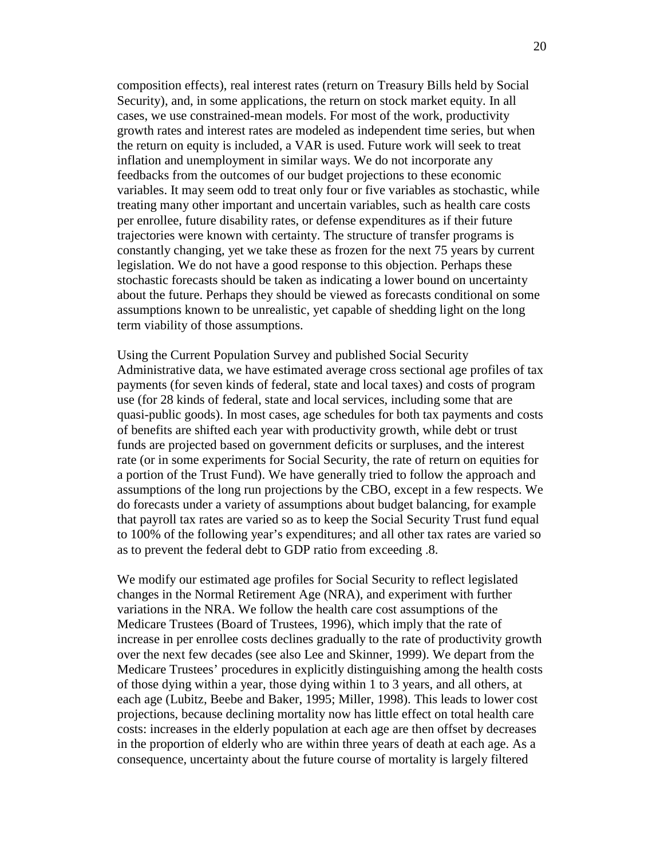composition effects), real interest rates (return on Treasury Bills held by Social Security), and, in some applications, the return on stock market equity. In all cases, we use constrained-mean models. For most of the work, productivity growth rates and interest rates are modeled as independent time series, but when the return on equity is included, a VAR is used. Future work will seek to treat inflation and unemployment in similar ways. We do not incorporate any feedbacks from the outcomes of our budget projections to these economic variables. It may seem odd to treat only four or five variables as stochastic, while treating many other important and uncertain variables, such as health care costs per enrollee, future disability rates, or defense expenditures as if their future trajectories were known with certainty. The structure of transfer programs is constantly changing, yet we take these as frozen for the next 75 years by current legislation. We do not have a good response to this objection. Perhaps these stochastic forecasts should be taken as indicating a lower bound on uncertainty about the future. Perhaps they should be viewed as forecasts conditional on some assumptions known to be unrealistic, yet capable of shedding light on the long term viability of those assumptions.

Using the Current Population Survey and published Social Security Administrative data, we have estimated average cross sectional age profiles of tax payments (for seven kinds of federal, state and local taxes) and costs of program use (for 28 kinds of federal, state and local services, including some that are quasi-public goods). In most cases, age schedules for both tax payments and costs of benefits are shifted each year with productivity growth, while debt or trust funds are projected based on government deficits or surpluses, and the interest rate (or in some experiments for Social Security, the rate of return on equities for a portion of the Trust Fund). We have generally tried to follow the approach and assumptions of the long run projections by the CBO, except in a few respects. We do forecasts under a variety of assumptions about budget balancing, for example that payroll tax rates are varied so as to keep the Social Security Trust fund equal to 100% of the following year's expenditures; and all other tax rates are varied so as to prevent the federal debt to GDP ratio from exceeding .8.

We modify our estimated age profiles for Social Security to reflect legislated changes in the Normal Retirement Age (NRA), and experiment with further variations in the NRA. We follow the health care cost assumptions of the Medicare Trustees (Board of Trustees, 1996), which imply that the rate of increase in per enrollee costs declines gradually to the rate of productivity growth over the next few decades (see also Lee and Skinner, 1999). We depart from the Medicare Trustees' procedures in explicitly distinguishing among the health costs of those dying within a year, those dying within 1 to 3 years, and all others, at each age (Lubitz, Beebe and Baker, 1995; Miller, 1998). This leads to lower cost projections, because declining mortality now has little effect on total health care costs: increases in the elderly population at each age are then offset by decreases in the proportion of elderly who are within three years of death at each age. As a consequence, uncertainty about the future course of mortality is largely filtered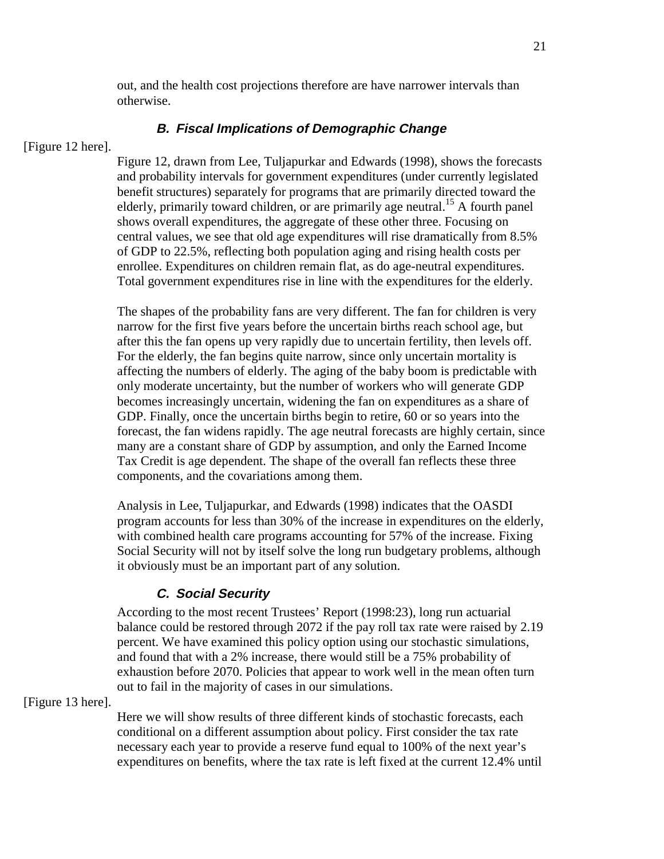out, and the health cost projections therefore are have narrower intervals than otherwise.

#### **B. Fiscal Implications of Demographic Change**

#### [Figure 12 here].

Figure 12, drawn from Lee, Tuljapurkar and Edwards (1998), shows the forecasts and probability intervals for government expenditures (under currently legislated benefit structures) separately for programs that are primarily directed toward the elderly, primarily toward children, or are primarily age neutral.<sup>15</sup> A fourth panel shows overall expenditures, the aggregate of these other three. Focusing on central values, we see that old age expenditures will rise dramatically from 8.5% of GDP to 22.5%, reflecting both population aging and rising health costs per enrollee. Expenditures on children remain flat, as do age-neutral expenditures. Total government expenditures rise in line with the expenditures for the elderly.

The shapes of the probability fans are very different. The fan for children is very narrow for the first five years before the uncertain births reach school age, but after this the fan opens up very rapidly due to uncertain fertility, then levels off. For the elderly, the fan begins quite narrow, since only uncertain mortality is affecting the numbers of elderly. The aging of the baby boom is predictable with only moderate uncertainty, but the number of workers who will generate GDP becomes increasingly uncertain, widening the fan on expenditures as a share of GDP. Finally, once the uncertain births begin to retire, 60 or so years into the forecast, the fan widens rapidly. The age neutral forecasts are highly certain, since many are a constant share of GDP by assumption, and only the Earned Income Tax Credit is age dependent. The shape of the overall fan reflects these three components, and the covariations among them.

Analysis in Lee, Tuljapurkar, and Edwards (1998) indicates that the OASDI program accounts for less than 30% of the increase in expenditures on the elderly, with combined health care programs accounting for 57% of the increase. Fixing Social Security will not by itself solve the long run budgetary problems, although it obviously must be an important part of any solution.

#### **C. Social Security**

According to the most recent Trustees' Report (1998:23), long run actuarial balance could be restored through 2072 if the pay roll tax rate were raised by 2.19 percent. We have examined this policy option using our stochastic simulations, and found that with a 2% increase, there would still be a 75% probability of exhaustion before 2070. Policies that appear to work well in the mean often turn out to fail in the majority of cases in our simulations.

[Figure 13 here].

Here we will show results of three different kinds of stochastic forecasts, each conditional on a different assumption about policy. First consider the tax rate necessary each year to provide a reserve fund equal to 100% of the next year's expenditures on benefits, where the tax rate is left fixed at the current 12.4% until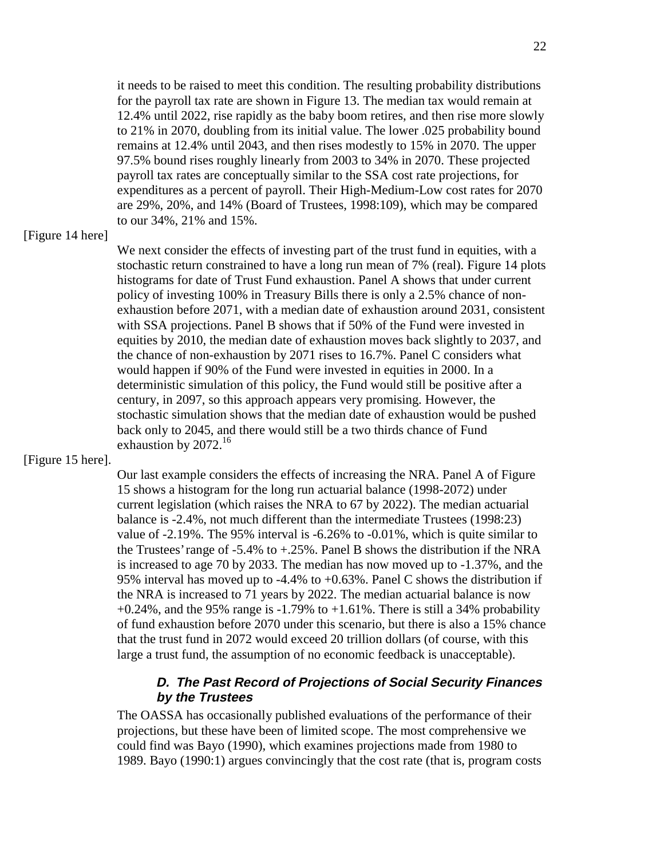it needs to be raised to meet this condition. The resulting probability distributions for the payroll tax rate are shown in Figure 13. The median tax would remain at 12.4% until 2022, rise rapidly as the baby boom retires, and then rise more slowly to 21% in 2070, doubling from its initial value. The lower .025 probability bound remains at 12.4% until 2043, and then rises modestly to 15% in 2070. The upper 97.5% bound rises roughly linearly from 2003 to 34% in 2070. These projected payroll tax rates are conceptually similar to the SSA cost rate projections, for expenditures as a percent of payroll. Their High-Medium-Low cost rates for 2070 are 29%, 20%, and 14% (Board of Trustees, 1998:109), which may be compared to our 34%, 21% and 15%.

#### [Figure 14 here]

We next consider the effects of investing part of the trust fund in equities, with a stochastic return constrained to have a long run mean of 7% (real). Figure 14 plots histograms for date of Trust Fund exhaustion. Panel A shows that under current policy of investing 100% in Treasury Bills there is only a 2.5% chance of nonexhaustion before 2071, with a median date of exhaustion around 2031, consistent with SSA projections. Panel B shows that if 50% of the Fund were invested in equities by 2010, the median date of exhaustion moves back slightly to 2037, and the chance of non-exhaustion by 2071 rises to 16.7%. Panel C considers what would happen if 90% of the Fund were invested in equities in 2000. In a deterministic simulation of this policy, the Fund would still be positive after a century, in 2097, so this approach appears very promising. However, the stochastic simulation shows that the median date of exhaustion would be pushed back only to 2045, and there would still be a two thirds chance of Fund exhaustion by  $2072.<sup>16</sup>$ 

#### [Figure 15 here].

Our last example considers the effects of increasing the NRA. Panel A of Figure 15 shows a histogram for the long run actuarial balance (1998-2072) under current legislation (which raises the NRA to 67 by 2022). The median actuarial balance is -2.4%, not much different than the intermediate Trustees (1998:23) value of -2.19%. The 95% interval is -6.26% to -0.01%, which is quite similar to the Trustees' range of -5.4% to +.25%. Panel B shows the distribution if the NRA is increased to age 70 by 2033. The median has now moved up to -1.37%, and the 95% interval has moved up to -4.4% to +0.63%. Panel C shows the distribution if the NRA is increased to 71 years by 2022. The median actuarial balance is now  $+0.24\%$ , and the 95% range is -1.79% to  $+1.61\%$ . There is still a 34% probability of fund exhaustion before 2070 under this scenario, but there is also a 15% chance that the trust fund in 2072 would exceed 20 trillion dollars (of course, with this large a trust fund, the assumption of no economic feedback is unacceptable).

## **D. The Past Record of Projections of Social Security Finances by the Trustees**

The OASSA has occasionally published evaluations of the performance of their projections, but these have been of limited scope. The most comprehensive we could find was Bayo (1990), which examines projections made from 1980 to 1989. Bayo (1990:1) argues convincingly that the cost rate (that is, program costs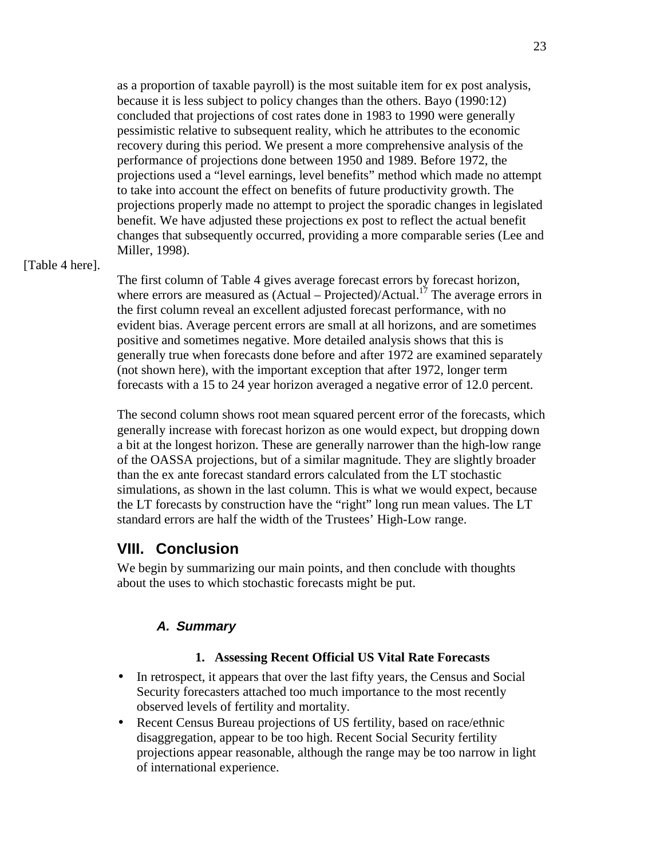as a proportion of taxable payroll) is the most suitable item for ex post analysis, because it is less subject to policy changes than the others. Bayo (1990:12) concluded that projections of cost rates done in 1983 to 1990 were generally pessimistic relative to subsequent reality, which he attributes to the economic recovery during this period. We present a more comprehensive analysis of the performance of projections done between 1950 and 1989. Before 1972, the projections used a "level earnings, level benefits" method which made no attempt to take into account the effect on benefits of future productivity growth. The projections properly made no attempt to project the sporadic changes in legislated benefit. We have adjusted these projections ex post to reflect the actual benefit changes that subsequently occurred, providing a more comparable series (Lee and Miller, 1998).

#### [Table 4 here].

The first column of Table 4 gives average forecast errors by forecast horizon, where errors are measured as  $(Actual - Projected)/Actual$ .<sup>17</sup> The average errors in the first column reveal an excellent adjusted forecast performance, with no evident bias. Average percent errors are small at all horizons, and are sometimes positive and sometimes negative. More detailed analysis shows that this is generally true when forecasts done before and after 1972 are examined separately (not shown here), with the important exception that after 1972, longer term forecasts with a 15 to 24 year horizon averaged a negative error of 12.0 percent.

The second column shows root mean squared percent error of the forecasts, which generally increase with forecast horizon as one would expect, but dropping down a bit at the longest horizon. These are generally narrower than the high-low range of the OASSA projections, but of a similar magnitude. They are slightly broader than the ex ante forecast standard errors calculated from the LT stochastic simulations, as shown in the last column. This is what we would expect, because the LT forecasts by construction have the "right" long run mean values. The LT standard errors are half the width of the Trustees' High-Low range.

## **VIII. Conclusion**

We begin by summarizing our main points, and then conclude with thoughts about the uses to which stochastic forecasts might be put.

## **A. Summary**

#### **1. Assessing Recent Official US Vital Rate Forecasts**

- In retrospect, it appears that over the last fifty years, the Census and Social Security forecasters attached too much importance to the most recently observed levels of fertility and mortality.
- Recent Census Bureau projections of US fertility, based on race/ethnic disaggregation, appear to be too high. Recent Social Security fertility projections appear reasonable, although the range may be too narrow in light of international experience.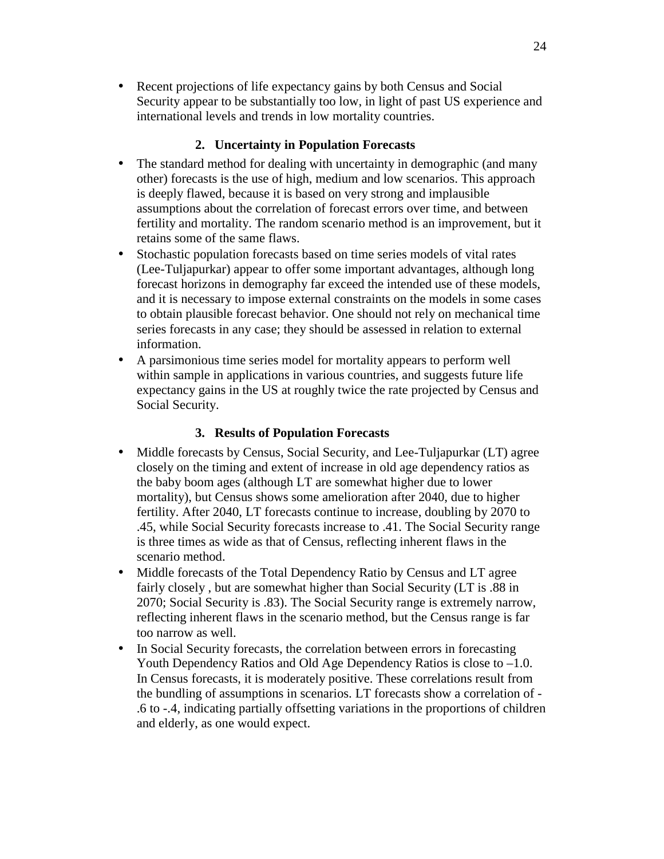• Recent projections of life expectancy gains by both Census and Social Security appear to be substantially too low, in light of past US experience and international levels and trends in low mortality countries.

## **2. Uncertainty in Population Forecasts**

- The standard method for dealing with uncertainty in demographic (and many other) forecasts is the use of high, medium and low scenarios. This approach is deeply flawed, because it is based on very strong and implausible assumptions about the correlation of forecast errors over time, and between fertility and mortality. The random scenario method is an improvement, but it retains some of the same flaws.
- Stochastic population forecasts based on time series models of vital rates (Lee-Tuljapurkar) appear to offer some important advantages, although long forecast horizons in demography far exceed the intended use of these models, and it is necessary to impose external constraints on the models in some cases to obtain plausible forecast behavior. One should not rely on mechanical time series forecasts in any case; they should be assessed in relation to external information.
- A parsimonious time series model for mortality appears to perform well within sample in applications in various countries, and suggests future life expectancy gains in the US at roughly twice the rate projected by Census and Social Security.

## **3. Results of Population Forecasts**

- Middle forecasts by Census, Social Security, and Lee-Tuljapurkar (LT) agree closely on the timing and extent of increase in old age dependency ratios as the baby boom ages (although LT are somewhat higher due to lower mortality), but Census shows some amelioration after 2040, due to higher fertility. After 2040, LT forecasts continue to increase, doubling by 2070 to .45, while Social Security forecasts increase to .41. The Social Security range is three times as wide as that of Census, reflecting inherent flaws in the scenario method.
- Middle forecasts of the Total Dependency Ratio by Census and LT agree fairly closely , but are somewhat higher than Social Security (LT is .88 in 2070; Social Security is .83). The Social Security range is extremely narrow, reflecting inherent flaws in the scenario method, but the Census range is far too narrow as well.
- In Social Security forecasts, the correlation between errors in forecasting Youth Dependency Ratios and Old Age Dependency Ratios is close to –1.0. In Census forecasts, it is moderately positive. These correlations result from the bundling of assumptions in scenarios. LT forecasts show a correlation of - .6 to -.4, indicating partially offsetting variations in the proportions of children and elderly, as one would expect.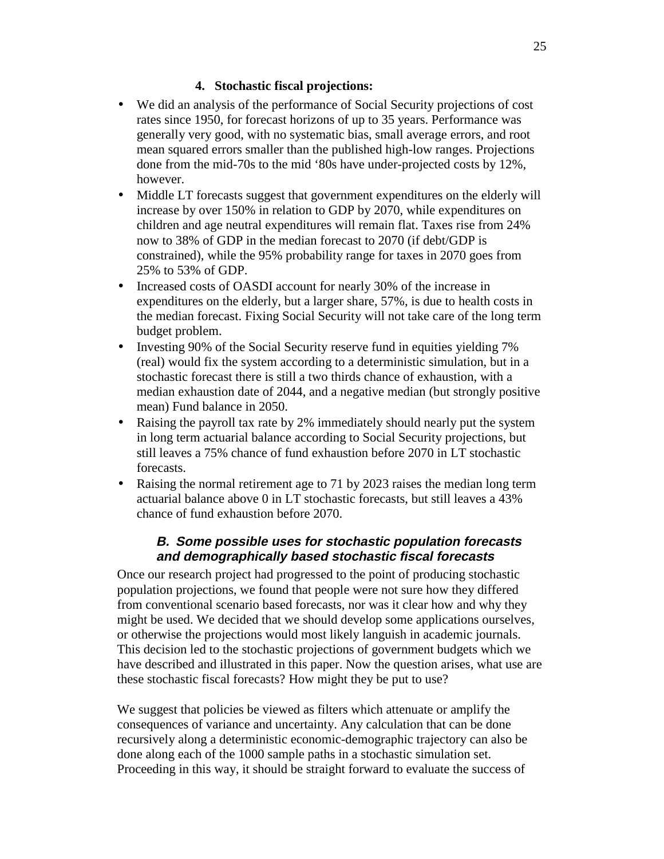### **4. Stochastic fiscal projections:**

- We did an analysis of the performance of Social Security projections of cost rates since 1950, for forecast horizons of up to 35 years. Performance was generally very good, with no systematic bias, small average errors, and root mean squared errors smaller than the published high-low ranges. Projections done from the mid-70s to the mid '80s have under-projected costs by 12%, however.
- Middle LT forecasts suggest that government expenditures on the elderly will increase by over 150% in relation to GDP by 2070, while expenditures on children and age neutral expenditures will remain flat. Taxes rise from 24% now to 38% of GDP in the median forecast to 2070 (if debt/GDP is constrained), while the 95% probability range for taxes in 2070 goes from 25% to 53% of GDP.
- Increased costs of OASDI account for nearly 30% of the increase in expenditures on the elderly, but a larger share, 57%, is due to health costs in the median forecast. Fixing Social Security will not take care of the long term budget problem.
- Investing 90% of the Social Security reserve fund in equities yielding 7% (real) would fix the system according to a deterministic simulation, but in a stochastic forecast there is still a two thirds chance of exhaustion, with a median exhaustion date of 2044, and a negative median (but strongly positive mean) Fund balance in 2050.
- Raising the payroll tax rate by 2% immediately should nearly put the system in long term actuarial balance according to Social Security projections, but still leaves a 75% chance of fund exhaustion before 2070 in LT stochastic forecasts.
- Raising the normal retirement age to 71 by 2023 raises the median long term actuarial balance above 0 in LT stochastic forecasts, but still leaves a 43% chance of fund exhaustion before 2070.

## **B. Some possible uses for stochastic population forecasts and demographically based stochastic fiscal forecasts**

Once our research project had progressed to the point of producing stochastic population projections, we found that people were not sure how they differed from conventional scenario based forecasts, nor was it clear how and why they might be used. We decided that we should develop some applications ourselves, or otherwise the projections would most likely languish in academic journals. This decision led to the stochastic projections of government budgets which we have described and illustrated in this paper. Now the question arises, what use are these stochastic fiscal forecasts? How might they be put to use?

We suggest that policies be viewed as filters which attenuate or amplify the consequences of variance and uncertainty. Any calculation that can be done recursively along a deterministic economic-demographic trajectory can also be done along each of the 1000 sample paths in a stochastic simulation set. Proceeding in this way, it should be straight forward to evaluate the success of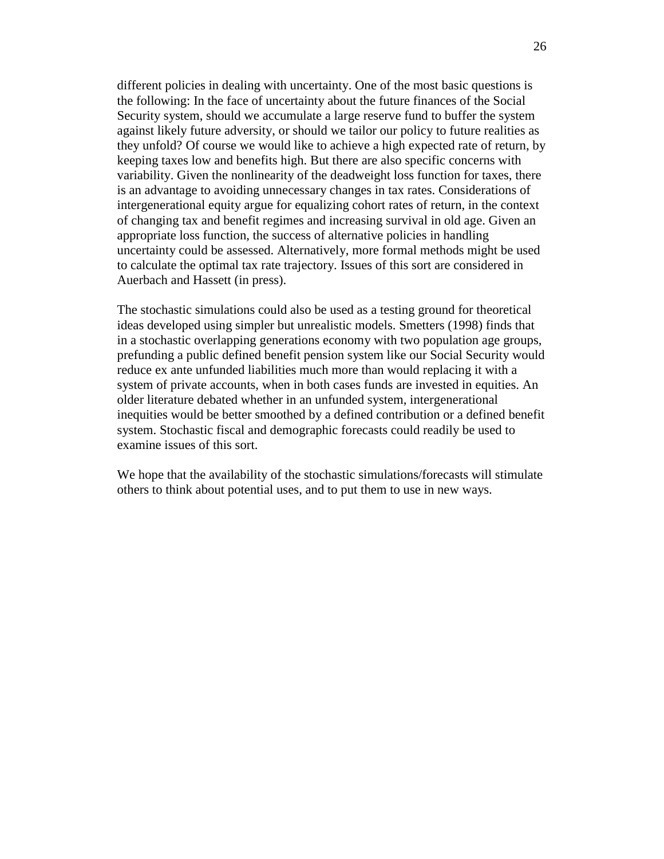different policies in dealing with uncertainty. One of the most basic questions is the following: In the face of uncertainty about the future finances of the Social Security system, should we accumulate a large reserve fund to buffer the system against likely future adversity, or should we tailor our policy to future realities as they unfold? Of course we would like to achieve a high expected rate of return, by keeping taxes low and benefits high. But there are also specific concerns with variability. Given the nonlinearity of the deadweight loss function for taxes, there is an advantage to avoiding unnecessary changes in tax rates. Considerations of intergenerational equity argue for equalizing cohort rates of return, in the context of changing tax and benefit regimes and increasing survival in old age. Given an appropriate loss function, the success of alternative policies in handling uncertainty could be assessed. Alternatively, more formal methods might be used to calculate the optimal tax rate trajectory. Issues of this sort are considered in Auerbach and Hassett (in press).

The stochastic simulations could also be used as a testing ground for theoretical ideas developed using simpler but unrealistic models. Smetters (1998) finds that in a stochastic overlapping generations economy with two population age groups, prefunding a public defined benefit pension system like our Social Security would reduce ex ante unfunded liabilities much more than would replacing it with a system of private accounts, when in both cases funds are invested in equities. An older literature debated whether in an unfunded system, intergenerational inequities would be better smoothed by a defined contribution or a defined benefit system. Stochastic fiscal and demographic forecasts could readily be used to examine issues of this sort.

We hope that the availability of the stochastic simulations/forecasts will stimulate others to think about potential uses, and to put them to use in new ways.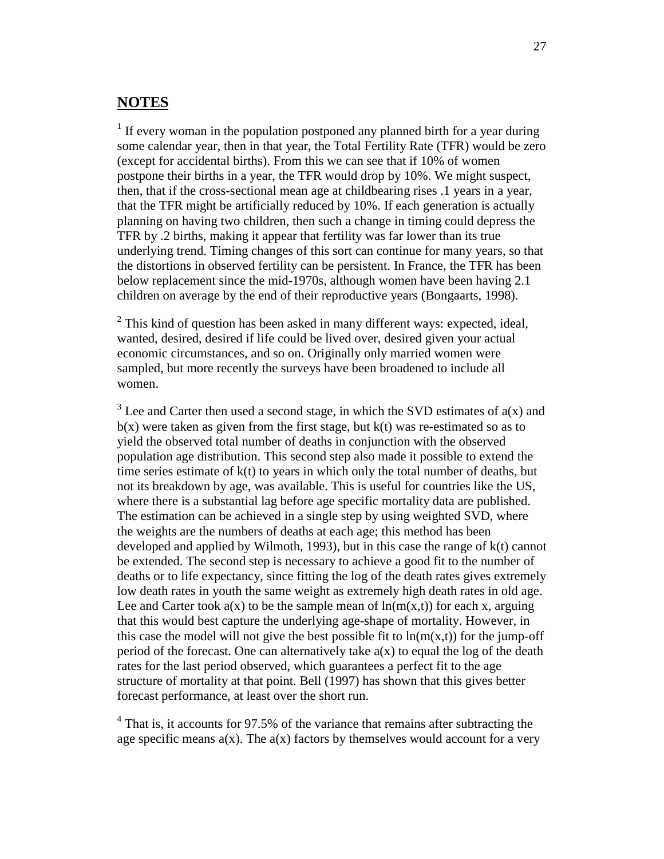## **NOTES**

 $<sup>1</sup>$  If every woman in the population postponed any planned birth for a year during</sup> some calendar year, then in that year, the Total Fertility Rate (TFR) would be zero (except for accidental births). From this we can see that if 10% of women postpone their births in a year, the TFR would drop by 10%. We might suspect, then, that if the cross-sectional mean age at childbearing rises .1 years in a year, that the TFR might be artificially reduced by 10%. If each generation is actually planning on having two children, then such a change in timing could depress the TFR by .2 births, making it appear that fertility was far lower than its true underlying trend. Timing changes of this sort can continue for many years, so that the distortions in observed fertility can be persistent. In France, the TFR has been below replacement since the mid-1970s, although women have been having 2.1 children on average by the end of their reproductive years (Bongaarts, 1998).

 $2$  This kind of question has been asked in many different ways: expected, ideal, wanted, desired, desired if life could be lived over, desired given your actual economic circumstances, and so on. Originally only married women were sampled, but more recently the surveys have been broadened to include all women.

<sup>3</sup> Lee and Carter then used a second stage, in which the SVD estimates of  $a(x)$  and  $b(x)$  were taken as given from the first stage, but  $k(t)$  was re-estimated so as to yield the observed total number of deaths in conjunction with the observed population age distribution. This second step also made it possible to extend the time series estimate of  $k(t)$  to years in which only the total number of deaths, but not its breakdown by age, was available. This is useful for countries like the US, where there is a substantial lag before age specific mortality data are published. The estimation can be achieved in a single step by using weighted SVD, where the weights are the numbers of deaths at each age; this method has been developed and applied by Wilmoth, 1993), but in this case the range of k(t) cannot be extended. The second step is necessary to achieve a good fit to the number of deaths or to life expectancy, since fitting the log of the death rates gives extremely low death rates in youth the same weight as extremely high death rates in old age. Lee and Carter took  $a(x)$  to be the sample mean of  $ln(m(x,t))$  for each x, arguing that this would best capture the underlying age-shape of mortality. However, in this case the model will not give the best possible fit to  $ln(m(x,t))$  for the jump-off period of the forecast. One can alternatively take  $a(x)$  to equal the log of the death rates for the last period observed, which guarantees a perfect fit to the age structure of mortality at that point. Bell (1997) has shown that this gives better forecast performance, at least over the short run.

<sup>4</sup> That is, it accounts for 97.5% of the variance that remains after subtracting the age specific means  $a(x)$ . The  $a(x)$  factors by themselves would account for a very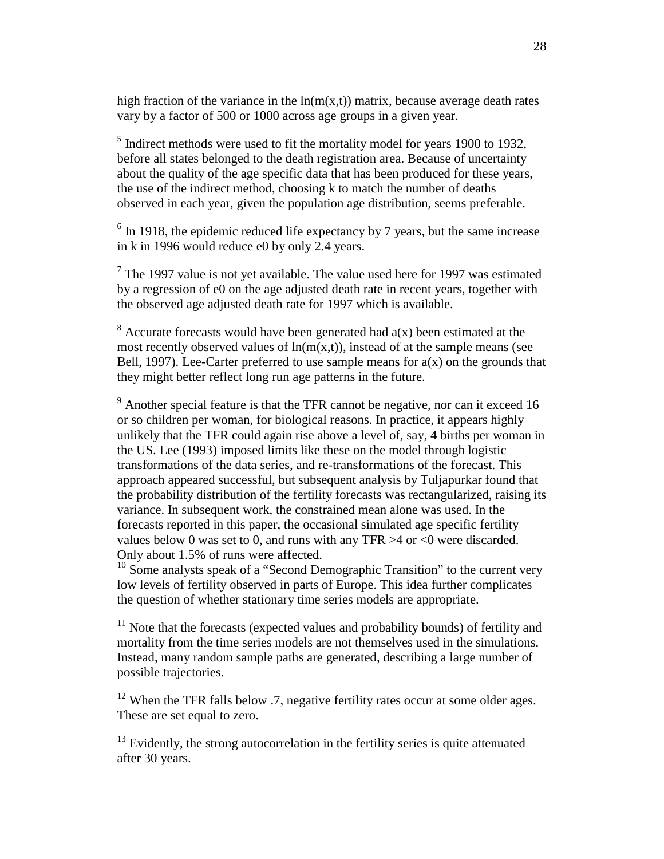high fraction of the variance in the  $ln(m(x,t))$  matrix, because average death rates vary by a factor of 500 or 1000 across age groups in a given year.

 $<sup>5</sup>$  Indirect methods were used to fit the mortality model for years 1900 to 1932,</sup> before all states belonged to the death registration area. Because of uncertainty about the quality of the age specific data that has been produced for these years, the use of the indirect method, choosing k to match the number of deaths observed in each year, given the population age distribution, seems preferable.

 $6$  In 1918, the epidemic reduced life expectancy by 7 years, but the same increase in k in 1996 would reduce e0 by only 2.4 years.

 $<sup>7</sup>$  The 1997 value is not yet available. The value used here for 1997 was estimated</sup> by a regression of e0 on the age adjusted death rate in recent years, together with the observed age adjusted death rate for 1997 which is available.

<sup>8</sup> Accurate forecasts would have been generated had  $a(x)$  been estimated at the most recently observed values of  $ln(m(x,t))$ , instead of at the sample means (see Bell, 1997). Lee-Carter preferred to use sample means for  $a(x)$  on the grounds that they might better reflect long run age patterns in the future.

 $9$  Another special feature is that the TFR cannot be negative, nor can it exceed 16 or so children per woman, for biological reasons. In practice, it appears highly unlikely that the TFR could again rise above a level of, say, 4 births per woman in the US. Lee (1993) imposed limits like these on the model through logistic transformations of the data series, and re-transformations of the forecast. This approach appeared successful, but subsequent analysis by Tuljapurkar found that the probability distribution of the fertility forecasts was rectangularized, raising its variance. In subsequent work, the constrained mean alone was used. In the forecasts reported in this paper, the occasional simulated age specific fertility values below 0 was set to 0, and runs with any TFR >4 or <0 were discarded. Only about 1.5% of runs were affected.

<sup>10</sup> Some analysts speak of a "Second Demographic Transition" to the current very low levels of fertility observed in parts of Europe. This idea further complicates the question of whether stationary time series models are appropriate.

 $11$  Note that the forecasts (expected values and probability bounds) of fertility and mortality from the time series models are not themselves used in the simulations. Instead, many random sample paths are generated, describing a large number of possible trajectories.

<sup>12</sup> When the TFR falls below .7, negative fertility rates occur at some older ages. These are set equal to zero.

 $13$  Evidently, the strong autocorrelation in the fertility series is quite attenuated after 30 years.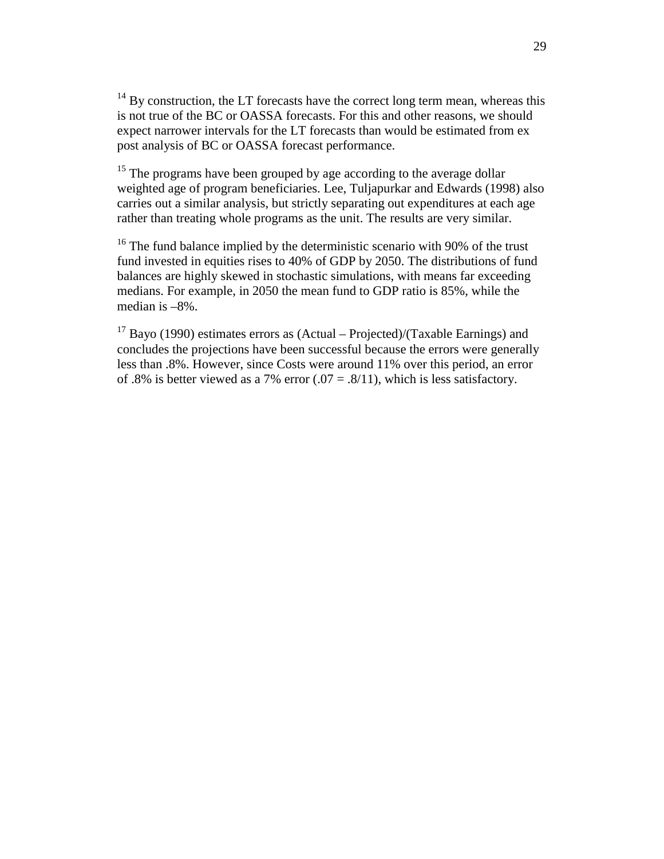$14$  By construction, the LT forecasts have the correct long term mean, whereas this is not true of the BC or OASSA forecasts. For this and other reasons, we should expect narrower intervals for the LT forecasts than would be estimated from ex post analysis of BC or OASSA forecast performance.

<sup>15</sup> The programs have been grouped by age according to the average dollar weighted age of program beneficiaries. Lee, Tuljapurkar and Edwards (1998) also carries out a similar analysis, but strictly separating out expenditures at each age rather than treating whole programs as the unit. The results are very similar.

 $16$  The fund balance implied by the deterministic scenario with 90% of the trust fund invested in equities rises to 40% of GDP by 2050. The distributions of fund balances are highly skewed in stochastic simulations, with means far exceeding medians. For example, in 2050 the mean fund to GDP ratio is 85%, while the median is –8%.

 $17$  Bayo (1990) estimates errors as (Actual – Projected)/(Taxable Earnings) and concludes the projections have been successful because the errors were generally less than .8%. However, since Costs were around 11% over this period, an error of .8% is better viewed as a 7% error (.07 = .8/11), which is less satisfactory.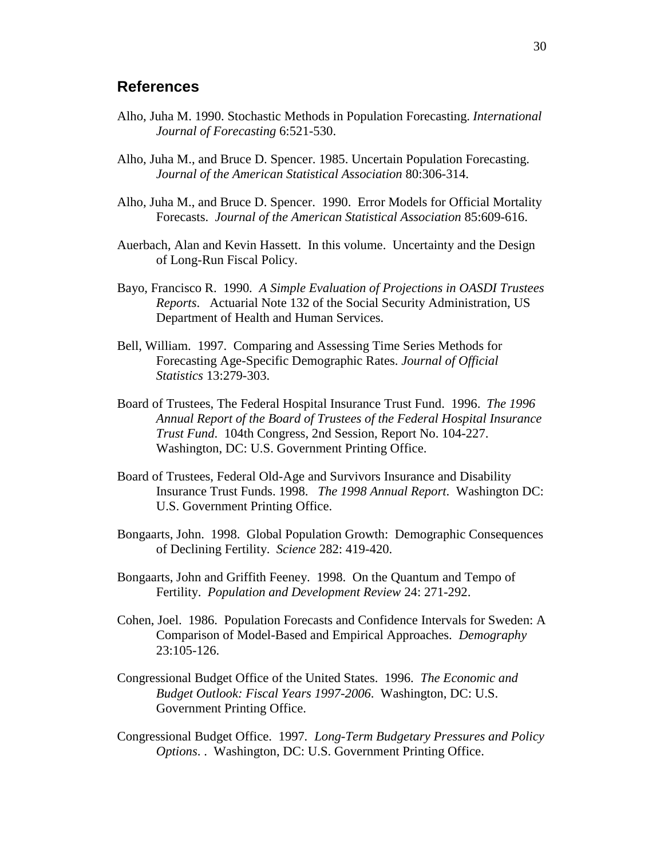#### **References**

- Alho, Juha M. 1990. Stochastic Methods in Population Forecasting. *International Journal of Forecasting* 6:521-530.
- Alho, Juha M., and Bruce D. Spencer. 1985. Uncertain Population Forecasting. *Journal of the American Statistical Association* 80:306-314.
- Alho, Juha M., and Bruce D. Spencer. 1990. Error Models for Official Mortality Forecasts. *Journal of the American Statistical Association* 85:609-616.
- Auerbach, Alan and Kevin Hassett. In this volume. Uncertainty and the Design of Long-Run Fiscal Policy.
- Bayo, Francisco R. 1990*. A Simple Evaluation of Projections in OASDI Trustees Reports*. Actuarial Note 132 of the Social Security Administration, US Department of Health and Human Services.
- Bell, William. 1997. Comparing and Assessing Time Series Methods for Forecasting Age-Specific Demographic Rates. *Journal of Official Statistics* 13:279-303.
- Board of Trustees, The Federal Hospital Insurance Trust Fund. 1996. *The 1996 Annual Report of the Board of Trustees of the Federal Hospital Insurance Trust Fund*. 104th Congress, 2nd Session, Report No. 104-227. Washington, DC: U.S. Government Printing Office.
- Board of Trustees, Federal Old-Age and Survivors Insurance and Disability Insurance Trust Funds. 1998. *The 1998 Annual Report*. Washington DC: U.S. Government Printing Office.
- Bongaarts, John. 1998. Global Population Growth: Demographic Consequences of Declining Fertility. *Science* 282: 419-420.
- Bongaarts, John and Griffith Feeney. 1998. On the Quantum and Tempo of Fertility. *Population and Development Review* 24: 271-292.
- Cohen, Joel. 1986. Population Forecasts and Confidence Intervals for Sweden: A Comparison of Model-Based and Empirical Approaches. *Demography* 23:105-126.
- Congressional Budget Office of the United States. 1996. *The Economic and Budget Outlook: Fiscal Years 1997-2006*. Washington, DC: U.S. Government Printing Office.
- Congressional Budget Office. 1997*. Long-Term Budgetary Pressures and Policy Options*. . Washington, DC: U.S. Government Printing Office.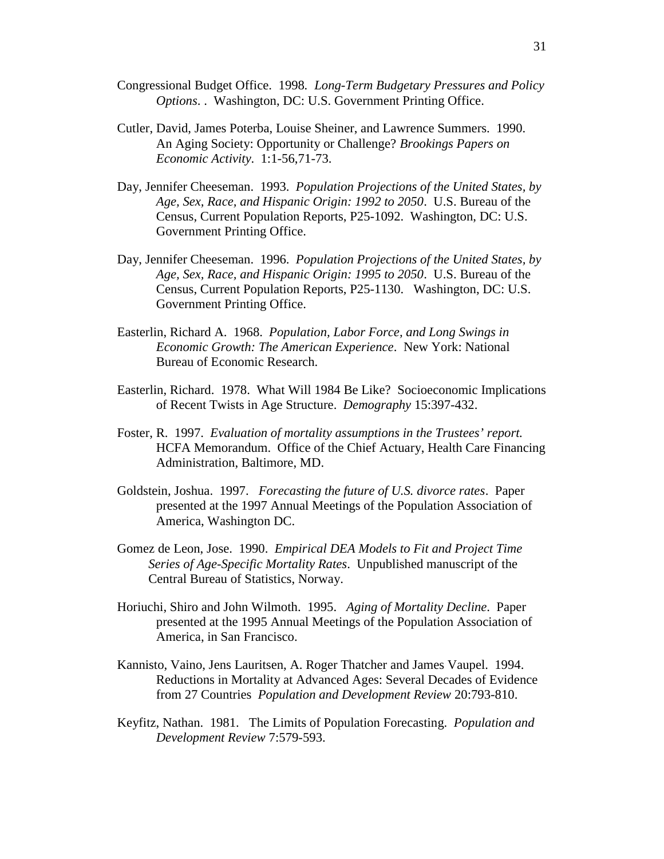- Congressional Budget Office. 1998*. Long-Term Budgetary Pressures and Policy Options*. . Washington, DC: U.S. Government Printing Office.
- Cutler, David, James Poterba, Louise Sheiner, and Lawrence Summers. 1990. An Aging Society: Opportunity or Challenge? *Brookings Papers on Economic Activity*. 1:1-56,71-73.
- Day, Jennifer Cheeseman. 1993. *Population Projections of the United States, by Age, Sex, Race, and Hispanic Origin: 1992 to 2050*. U.S. Bureau of the Census, Current Population Reports, P25-1092. Washington, DC: U.S. Government Printing Office.
- Day, Jennifer Cheeseman. 1996. *Population Projections of the United States, by Age, Sex, Race, and Hispanic Origin: 1995 to 2050*. U.S. Bureau of the Census, Current Population Reports, P25-1130. Washington, DC: U.S. Government Printing Office.
- Easterlin, Richard A. 1968. *Population, Labor Force, and Long Swings in Economic Growth: The American Experience*. New York: National Bureau of Economic Research.
- Easterlin, Richard. 1978. What Will 1984 Be Like? Socioeconomic Implications of Recent Twists in Age Structure. *Demography* 15:397-432.
- Foster, R. 1997. *Evaluation of mortality assumptions in the Trustees' report.* HCFA Memorandum. Office of the Chief Actuary, Health Care Financing Administration, Baltimore, MD.
- Goldstein, Joshua. 1997. *Forecasting the future of U.S. divorce rates*. Paper presented at the 1997 Annual Meetings of the Population Association of America, Washington DC.
- Gomez de Leon, Jose. 1990. *Empirical DEA Models to Fit and Project Time Series of Age-Specific Mortality Rates*. Unpublished manuscript of the Central Bureau of Statistics, Norway.
- Horiuchi, Shiro and John Wilmoth. 1995. *Aging of Mortality Decline*. Paper presented at the 1995 Annual Meetings of the Population Association of America, in San Francisco.
- Kannisto, Vaino, Jens Lauritsen, A. Roger Thatcher and James Vaupel. 1994. Reductions in Mortality at Advanced Ages: Several Decades of Evidence from 27 Countries *Population and Development Review* 20:793-810.
- Keyfitz, Nathan. 1981. The Limits of Population Forecasting. *Population and Development Review* 7:579-593.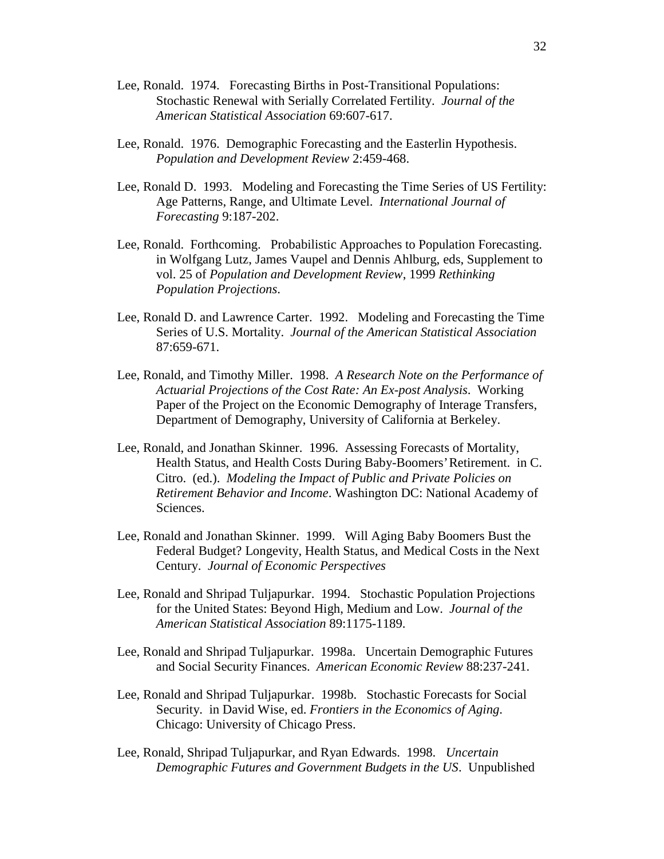- Lee, Ronald. 1974. Forecasting Births in Post-Transitional Populations: Stochastic Renewal with Serially Correlated Fertility. *Journal of the American Statistical Association* 69:607-617.
- Lee, Ronald. 1976. Demographic Forecasting and the Easterlin Hypothesis. *Population and Development Review* 2:459-468.
- Lee, Ronald D. 1993. Modeling and Forecasting the Time Series of US Fertility: Age Patterns, Range, and Ultimate Level. *International Journal of Forecasting* 9:187-202.
- Lee, Ronald. Forthcoming. Probabilistic Approaches to Population Forecasting. in Wolfgang Lutz, James Vaupel and Dennis Ahlburg, eds, Supplement to vol. 25 of *Population and Development Review*, 1999 *Rethinking Population Projections*.
- Lee, Ronald D. and Lawrence Carter. 1992. Modeling and Forecasting the Time Series of U.S. Mortality. *Journal of the American Statistical Association* 87:659-671.
- Lee, Ronald, and Timothy Miller. 1998. *A Research Note on the Performance of Actuarial Projections of the Cost Rate: An Ex-post Analysis*. Working Paper of the Project on the Economic Demography of Interage Transfers, Department of Demography, University of California at Berkeley.
- Lee, Ronald, and Jonathan Skinner. 1996. Assessing Forecasts of Mortality, Health Status, and Health Costs During Baby-Boomers' Retirement. in C. Citro. (ed.). *Modeling the Impact of Public and Private Policies on Retirement Behavior and Income*. Washington DC: National Academy of Sciences.
- Lee, Ronald and Jonathan Skinner. 1999. Will Aging Baby Boomers Bust the Federal Budget? Longevity, Health Status, and Medical Costs in the Next Century. *Journal of Economic Perspectives*
- Lee, Ronald and Shripad Tuljapurkar. 1994. Stochastic Population Projections for the United States: Beyond High, Medium and Low. *Journal of the American Statistical Association* 89:1175-1189.
- Lee, Ronald and Shripad Tuljapurkar. 1998a. Uncertain Demographic Futures and Social Security Finances. *American Economic Review* 88:237-241.
- Lee, Ronald and Shripad Tuljapurkar. 1998b. Stochastic Forecasts for Social Security. in David Wise, ed. *Frontiers in the Economics of Aging*. Chicago: University of Chicago Press.
- Lee, Ronald, Shripad Tuljapurkar, and Ryan Edwards. 1998. *Uncertain Demographic Futures and Government Budgets in the US*. Unpublished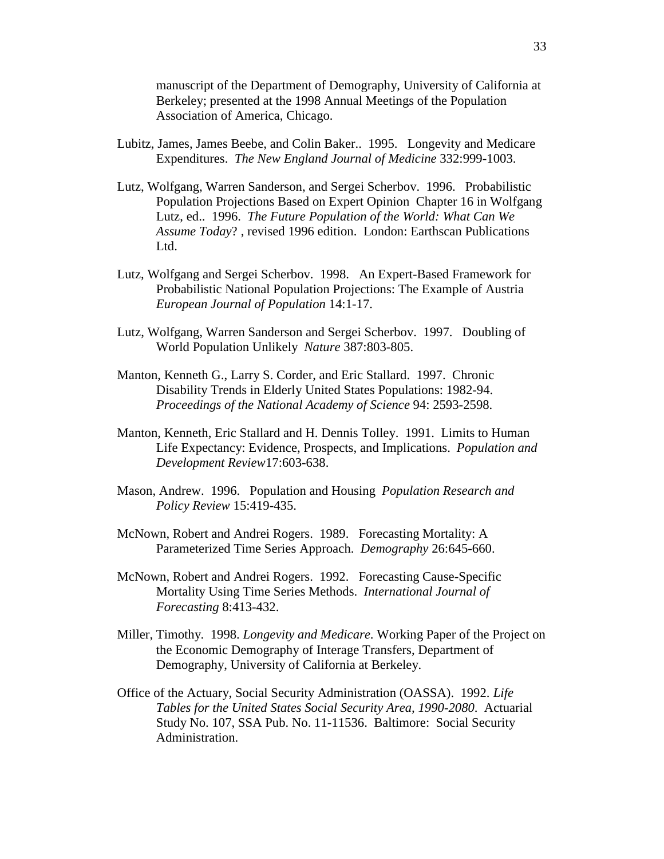manuscript of the Department of Demography, University of California at Berkeley; presented at the 1998 Annual Meetings of the Population Association of America, Chicago.

- Lubitz, James, James Beebe, and Colin Baker.. 1995. Longevity and Medicare Expenditures. *The New England Journal of Medicine* 332:999-1003.
- Lutz, Wolfgang, Warren Sanderson, and Sergei Scherbov. 1996. Probabilistic Population Projections Based on Expert Opinion Chapter 16 in Wolfgang Lutz, ed.. 1996. *The Future Population of the World: What Can We Assume Today*? , revised 1996 edition. London: Earthscan Publications Ltd.
- Lutz, Wolfgang and Sergei Scherbov. 1998. An Expert-Based Framework for Probabilistic National Population Projections: The Example of Austria *European Journal of Population* 14:1-17.
- Lutz, Wolfgang, Warren Sanderson and Sergei Scherbov. 1997. Doubling of World Population Unlikely *Nature* 387:803-805.
- Manton, Kenneth G., Larry S. Corder, and Eric Stallard. 1997. Chronic Disability Trends in Elderly United States Populations: 1982-94. *Proceedings of the National Academy of Science* 94: 2593-2598.
- Manton, Kenneth, Eric Stallard and H. Dennis Tolley. 1991. Limits to Human Life Expectancy: Evidence, Prospects, and Implications. *Population and Development Review*17:603-638.
- Mason, Andrew. 1996. Population and Housing *Population Research and Policy Review* 15:419-435.
- McNown, Robert and Andrei Rogers. 1989. Forecasting Mortality: A Parameterized Time Series Approach. *Demography* 26:645-660.
- McNown, Robert and Andrei Rogers. 1992. Forecasting Cause-Specific Mortality Using Time Series Methods. *International Journal of Forecasting* 8:413-432.
- Miller, Timothy. 1998. *Longevity and Medicare*. Working Paper of the Project on the Economic Demography of Interage Transfers, Department of Demography, University of California at Berkeley.
- Office of the Actuary, Social Security Administration (OASSA). 1992. *Life Tables for the United States Social Security Area, 1990-2080*. Actuarial Study No. 107, SSA Pub. No. 11-11536. Baltimore: Social Security Administration.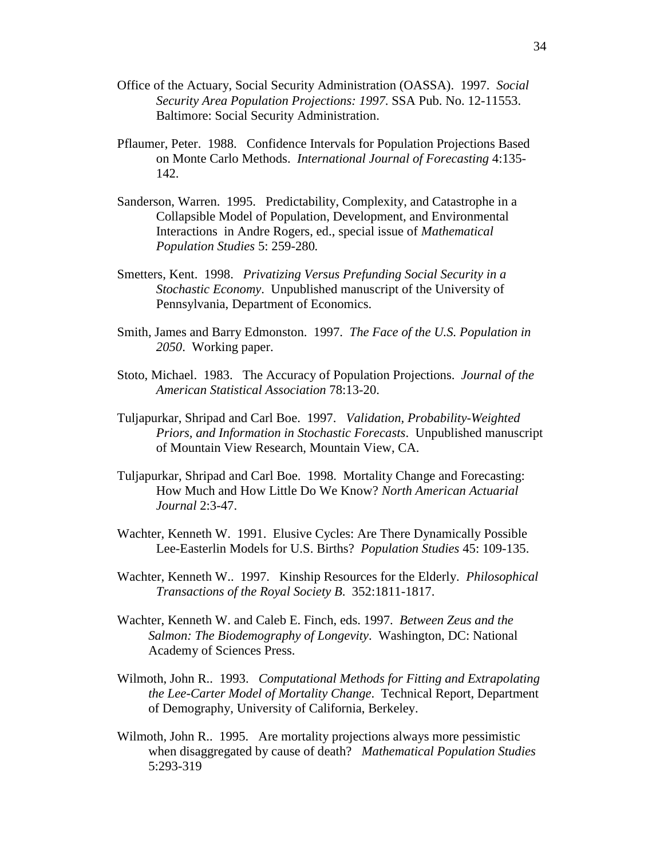- Office of the Actuary, Social Security Administration (OASSA). 1997. *Social Security Area Population Projections: 1997*. SSA Pub. No. 12-11553. Baltimore: Social Security Administration.
- Pflaumer, Peter. 1988. Confidence Intervals for Population Projections Based on Monte Carlo Methods. *International Journal of Forecasting* 4:135- 142.
- Sanderson, Warren. 1995. Predictability, Complexity, and Catastrophe in a Collapsible Model of Population, Development, and Environmental Interactions in Andre Rogers, ed., special issue of *Mathematical Population Studies* 5: 259-280*.*
- Smetters, Kent. 1998. *Privatizing Versus Prefunding Social Security in a Stochastic Economy*. Unpublished manuscript of the University of Pennsylvania, Department of Economics.
- Smith, James and Barry Edmonston. 1997. *The Face of the U.S. Population in 2050*. Working paper.
- Stoto, Michael. 1983. The Accuracy of Population Projections. *Journal of the American Statistical Association* 78:13-20.
- Tuljapurkar, Shripad and Carl Boe. 1997. *Validation, Probability-Weighted Priors, and Information in Stochastic Forecasts*. Unpublished manuscript of Mountain View Research, Mountain View, CA.
- Tuljapurkar, Shripad and Carl Boe. 1998. Mortality Change and Forecasting: How Much and How Little Do We Know? *North American Actuarial Journal* 2:3-47.
- Wachter, Kenneth W. 1991. Elusive Cycles: Are There Dynamically Possible Lee-Easterlin Models for U.S. Births? *Population Studies* 45: 109-135.
- Wachter, Kenneth W.. 1997. Kinship Resources for the Elderly. *Philosophical Transactions of the Royal Society B*. 352:1811-1817.
- Wachter, Kenneth W. and Caleb E. Finch, eds. 1997. *Between Zeus and the Salmon: The Biodemography of Longevity*. Washington, DC: National Academy of Sciences Press.
- Wilmoth, John R.. 1993. *Computational Methods for Fitting and Extrapolating the Lee-Carter Model of Mortality Change*. Technical Report, Department of Demography, University of California, Berkeley.
- Wilmoth, John R.. 1995. Are mortality projections always more pessimistic when disaggregated by cause of death? *Mathematical Population Studies* 5:293-319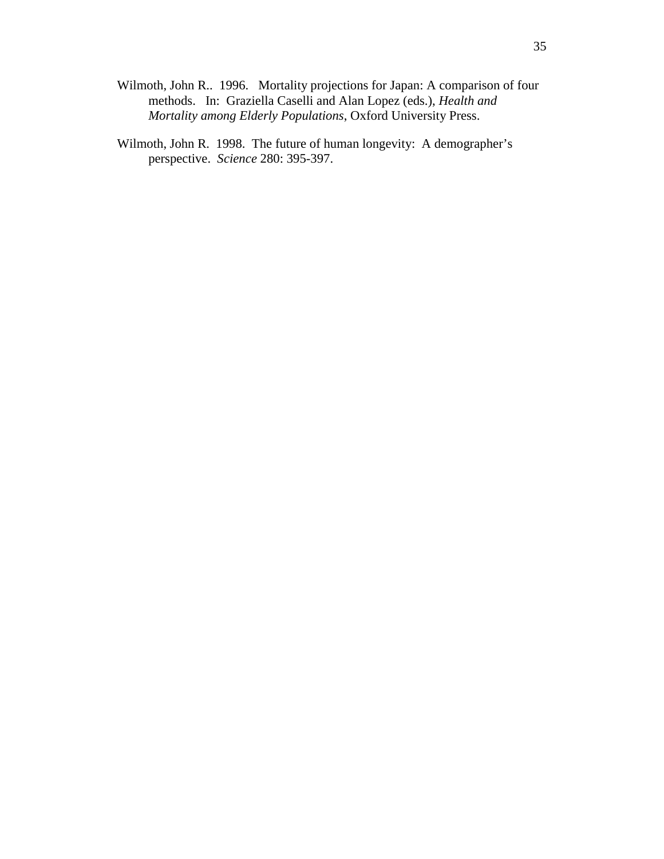- Wilmoth, John R.. 1996. Mortality projections for Japan: A comparison of four methods. In: Graziella Caselli and Alan Lopez (eds.), *Health and Mortality among Elderly Populations*, Oxford University Press.
- Wilmoth, John R. 1998. The future of human longevity: A demographer's perspective. *Science* 280: 395-397.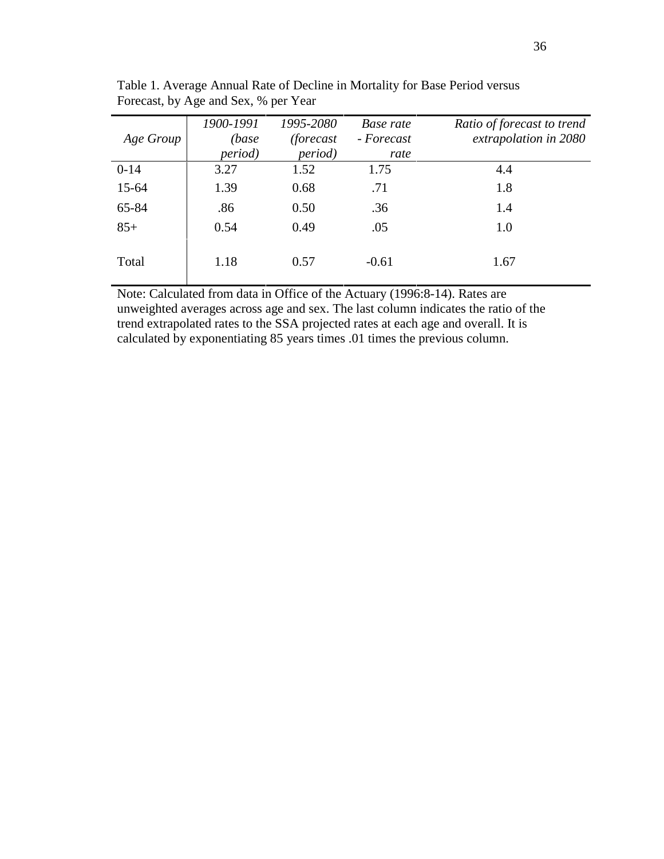| Age Group | 1900-1991<br>(base<br><i>period</i> ) | 1995-2080<br><i>(forecast)</i><br><i>period</i> ) | Base rate<br>- Forecast<br>rate | Ratio of forecast to trend<br>extrapolation in 2080 |
|-----------|---------------------------------------|---------------------------------------------------|---------------------------------|-----------------------------------------------------|
| $0-14$    | 3.27                                  | 1.52                                              | 1.75                            | 4.4                                                 |
| $15 - 64$ | 1.39                                  | 0.68                                              | .71                             | 1.8                                                 |
| 65-84     | .86                                   | 0.50                                              | .36                             | 1.4                                                 |
| $85+$     | 0.54                                  | 0.49                                              | .05                             | 1.0                                                 |
| Total     | 1.18                                  | 0.57                                              | $-0.61$                         | 1.67                                                |

Table 1. Average Annual Rate of Decline in Mortality for Base Period versus Forecast, by Age and Sex, % per Year

Note: Calculated from data in Office of the Actuary (1996:8-14). Rates are unweighted averages across age and sex. The last column indicates the ratio of the trend extrapolated rates to the SSA projected rates at each age and overall. It is calculated by exponentiating 85 years times .01 times the previous column.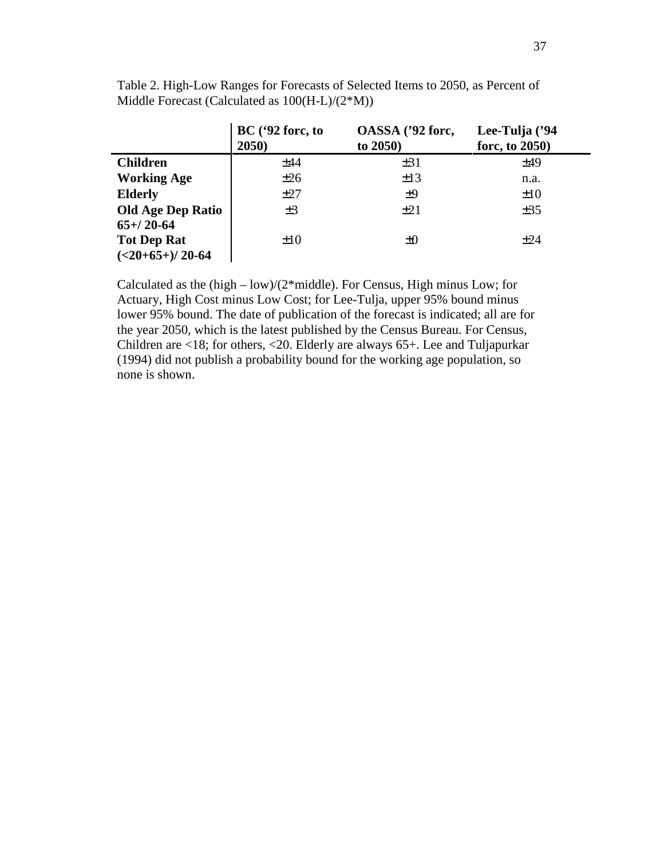|                          | $BC$ ('92 forc, to<br>2050) | OASSA ('92 forc,<br>to $2050$ | Lee-Tulja ('94<br>forc, to 2050) |
|--------------------------|-----------------------------|-------------------------------|----------------------------------|
| <b>Children</b>          | ±44                         | $\pm 31$                      | ±49                              |
| <b>Working Age</b>       | ±26                         | ±13                           | n.a.                             |
| <b>Elderly</b>           | ±27                         | ±9                            | $\pm 10$                         |
| <b>Old Age Dep Ratio</b> | $\pm 3$                     | ±21                           | ±35                              |
| $65+120-64$              |                             |                               |                                  |
| <b>Tot Dep Rat</b>       | ±10                         | $\pm 0$                       | ±24                              |
| $(<20+65+)$ / 20-64      |                             |                               |                                  |

Table 2. High-Low Ranges for Forecasts of Selected Items to 2050, as Percent of Middle Forecast (Calculated as 100(H-L)/(2\*M))

Calculated as the  $(high - low)/(2*middle)$ . For Census, High minus Low; for Actuary, High Cost minus Low Cost; for Lee-Tulja, upper 95% bound minus lower 95% bound. The date of publication of the forecast is indicated; all are for the year 2050, which is the latest published by the Census Bureau. For Census, Children are <18; for others, <20. Elderly are always 65+. Lee and Tuljapurkar (1994) did not publish a probability bound for the working age population, so none is shown.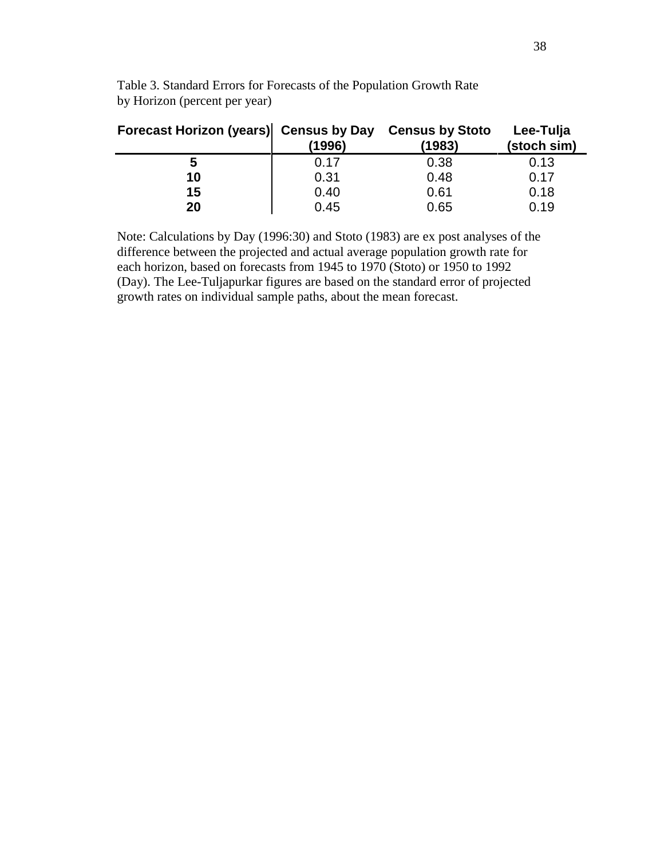| Forecast Horizon (years) Census by Day Census by Stoto | (1996) | (1983) | Lee-Tulja<br>(stoch sim) |
|--------------------------------------------------------|--------|--------|--------------------------|
| 5                                                      | 0.17   | 0.38   | 0.13                     |
| 10                                                     | 0.31   | 0.48   | 0.17                     |
| 15                                                     | 0.40   | 0.61   | 0.18                     |
| 20                                                     | 0.45   | 0.65   | 0.19                     |

Table 3. Standard Errors for Forecasts of the Population Growth Rate by Horizon (percent per year)

Note: Calculations by Day (1996:30) and Stoto (1983) are ex post analyses of the difference between the projected and actual average population growth rate for each horizon, based on forecasts from 1945 to 1970 (Stoto) or 1950 to 1992 (Day). The Lee-Tuljapurkar figures are based on the standard error of projected growth rates on individual sample paths, about the mean forecast.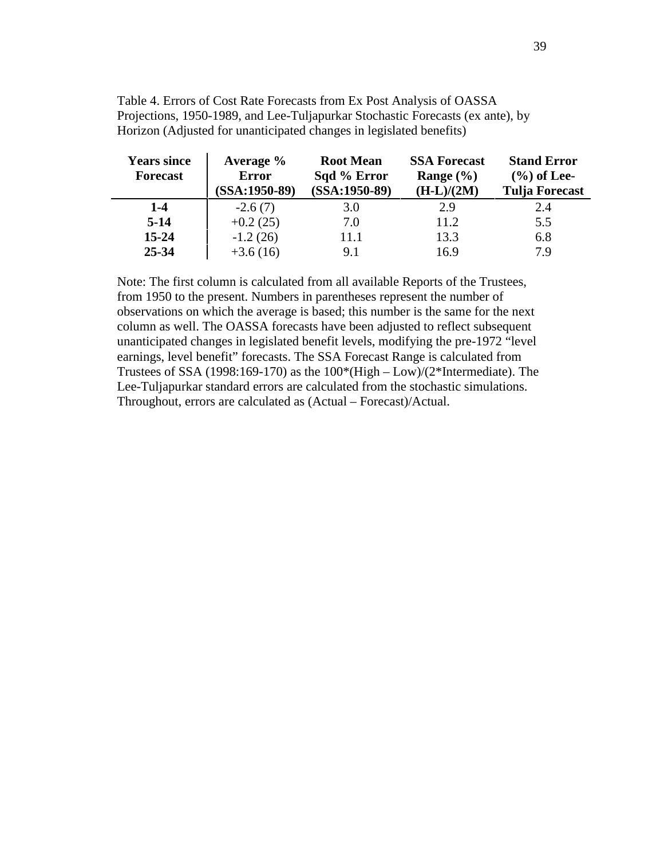| <b>Years since</b><br><b>Forecast</b> | Average $\%$<br><b>Error</b> | <b>Root Mean</b><br>Sqd % Error | <b>SSA Forecast</b><br>Range $(\% )$ | <b>Stand Error</b><br>$(\%)$ of Lee- |
|---------------------------------------|------------------------------|---------------------------------|--------------------------------------|--------------------------------------|
|                                       | $(SSA:1950-89)$              | $(SSA:1950-89)$                 | $(H-L)/(2M)$                         | <b>Tulja Forecast</b>                |
| $1 - 4$                               | $-2.6(7)$                    | 3.0                             | 2.9                                  | 2.4                                  |
| $5-14$                                | $+0.2(25)$                   | 7.0                             | 11.2                                 | 5.5                                  |
| $15 - 24$                             | $-1.2(26)$                   | 11.1                            | 13.3                                 | 6.8                                  |
| $25 - 34$                             | $+3.6(16)$                   | 9.1                             | 16.9                                 | 7 9                                  |

Table 4. Errors of Cost Rate Forecasts from Ex Post Analysis of OASSA Projections, 1950-1989, and Lee-Tuljapurkar Stochastic Forecasts (ex ante), by Horizon (Adjusted for unanticipated changes in legislated benefits)

Note: The first column is calculated from all available Reports of the Trustees, from 1950 to the present. Numbers in parentheses represent the number of observations on which the average is based; this number is the same for the next column as well. The OASSA forecasts have been adjusted to reflect subsequent unanticipated changes in legislated benefit levels, modifying the pre-1972 "level earnings, level benefit" forecasts. The SSA Forecast Range is calculated from Trustees of SSA (1998:169-170) as the 100\*(High – Low)/(2\*Intermediate). The Lee-Tuljapurkar standard errors are calculated from the stochastic simulations. Throughout, errors are calculated as (Actual – Forecast)/Actual.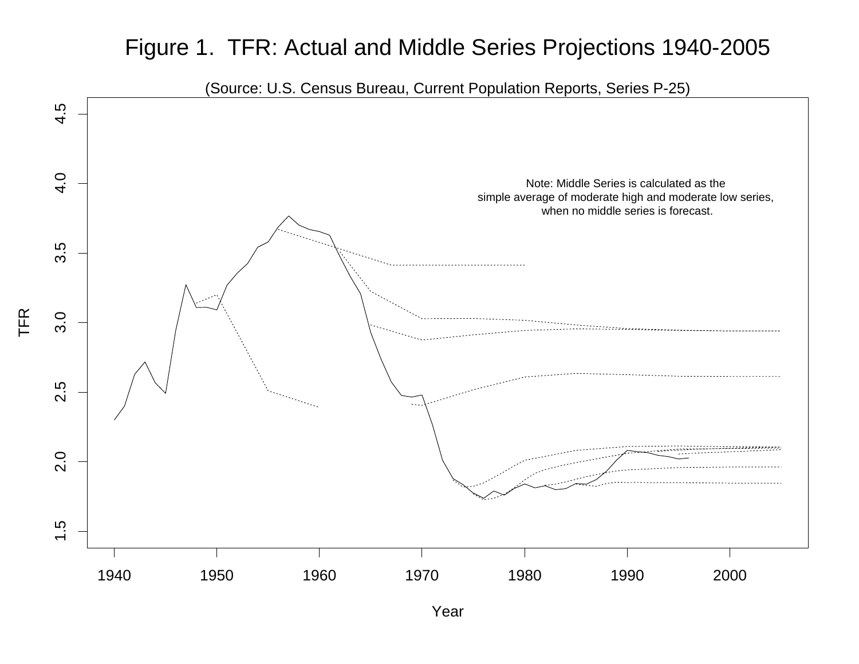# Figure 1. TFR: Actual and Middle Series Projections 1940-2005



(Source: U.S. Census Bureau, Current Population Reports, Series P-25)

Year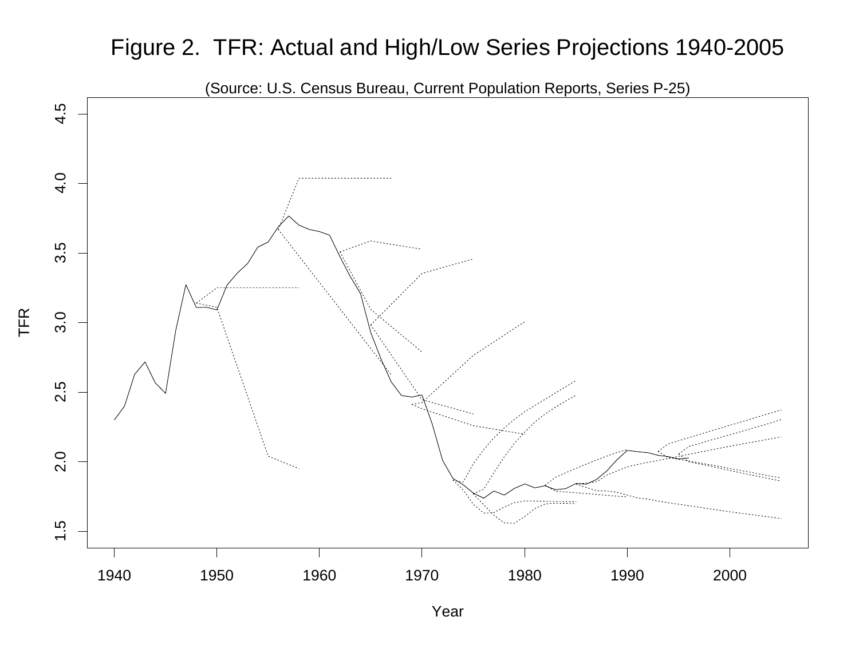# Figure 2. TFR: Actual and High/Low Series Projections 1940-2005



Year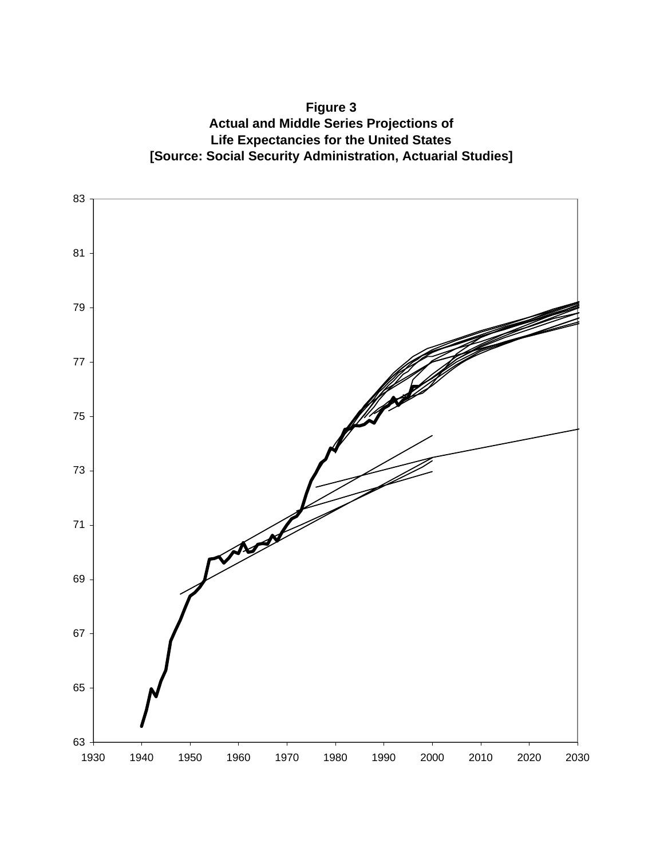**Figure 3 Actual and Middle Series Projections of Life Expectancies for the United States [Source: Social Security Administration, Actuarial Studies]**

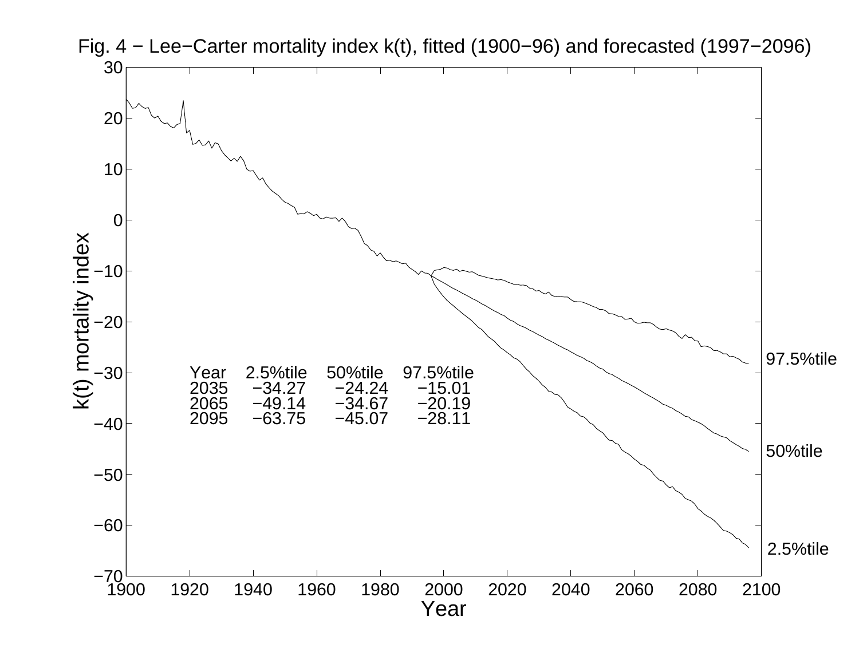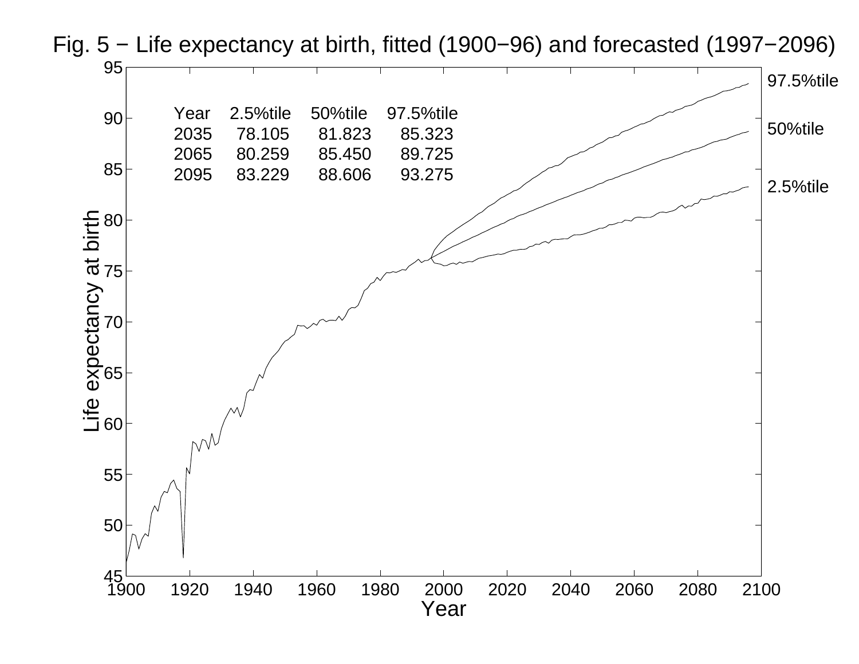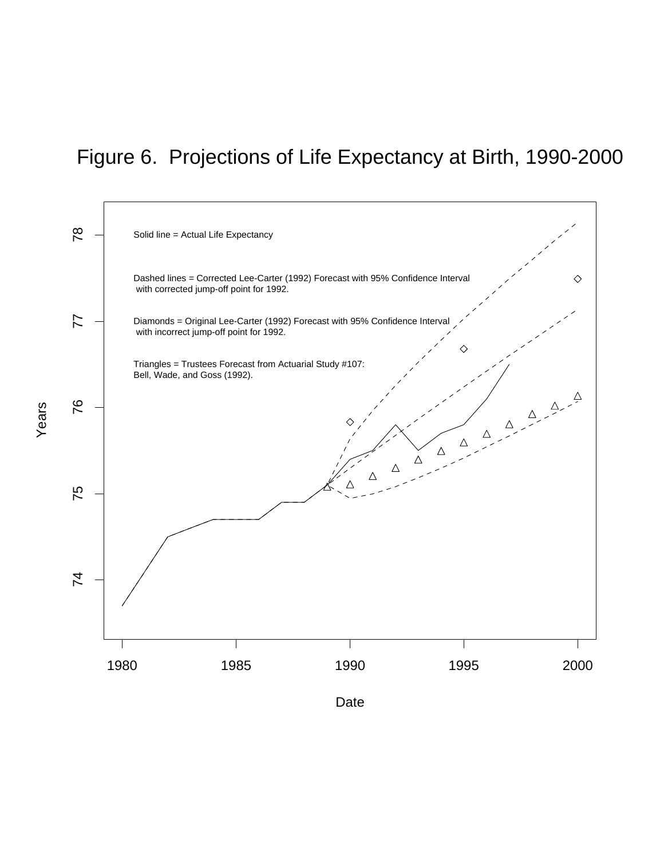# Figure 6. Projections of Life Expectancy at Birth, 1990-2000



Years

Date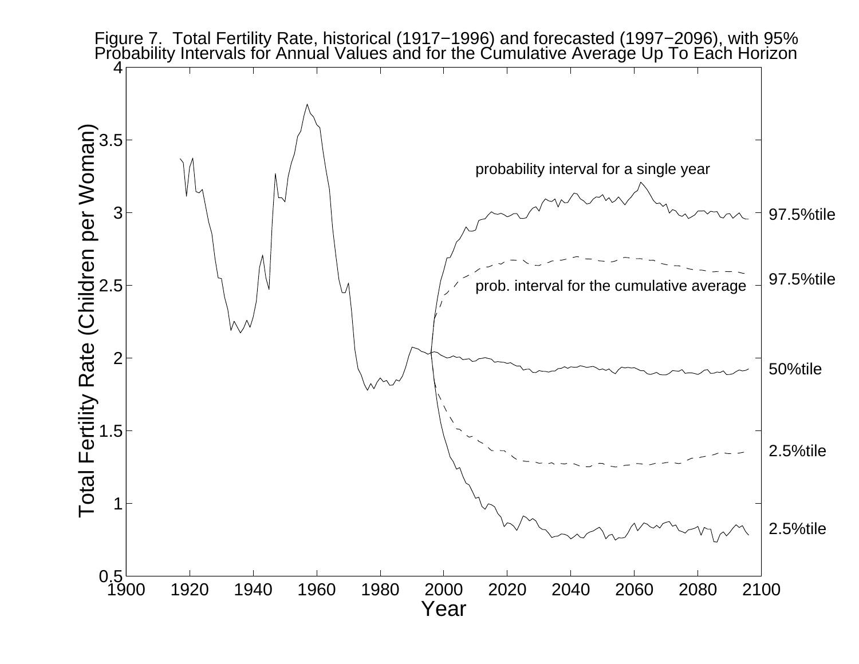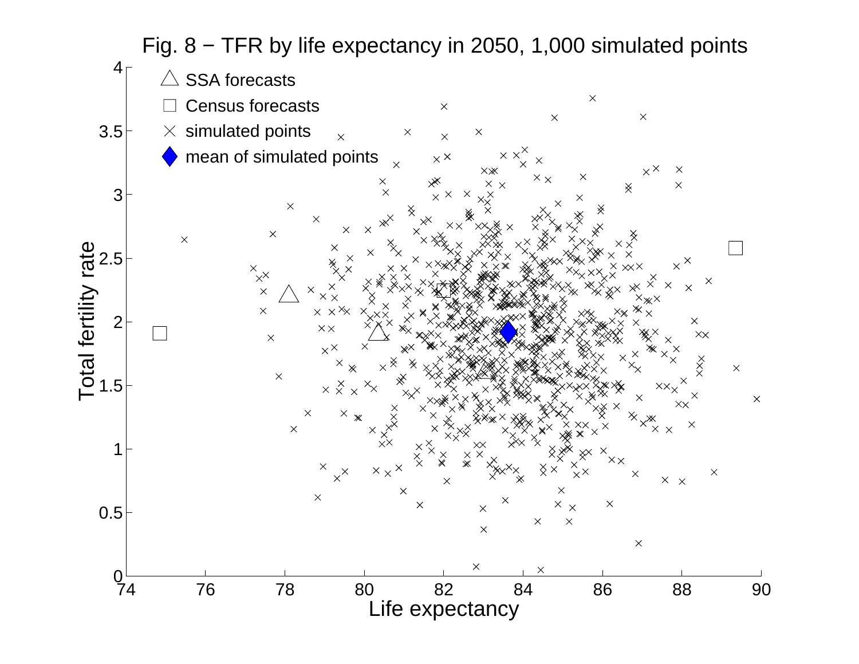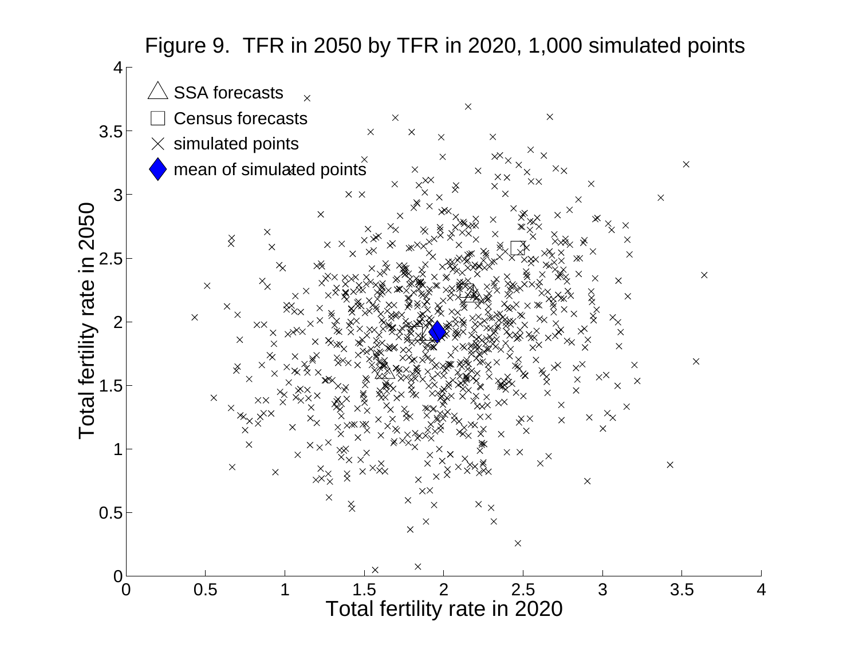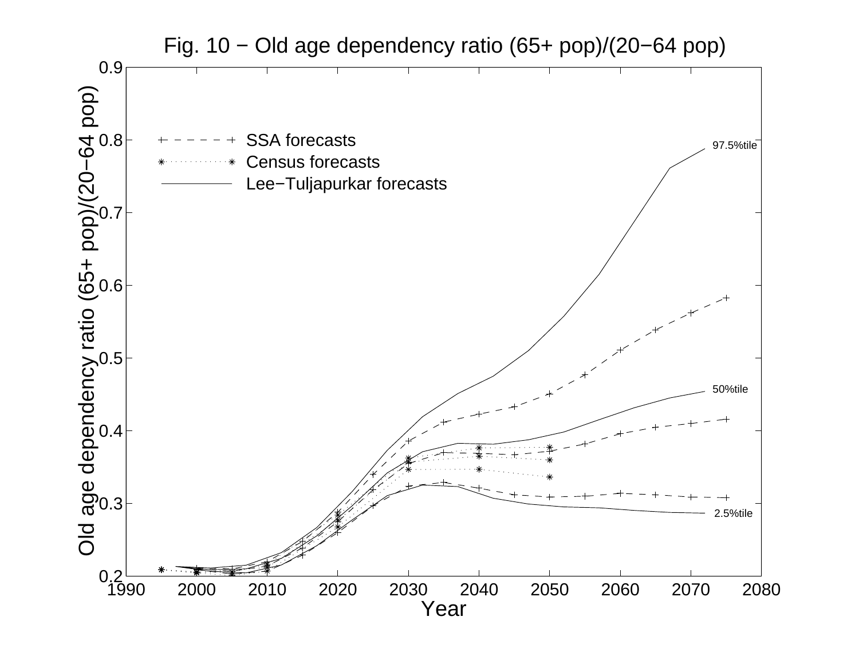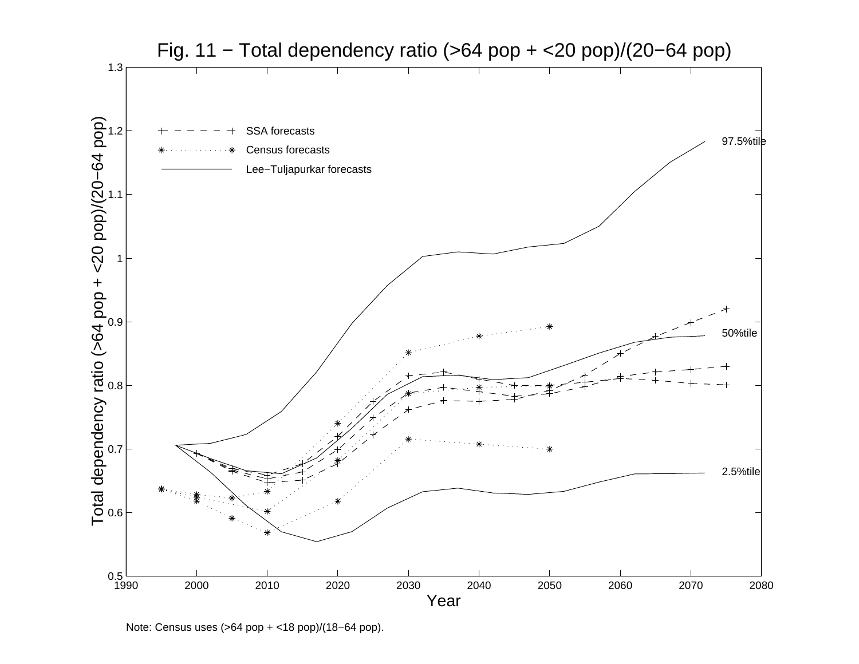

Note: Census uses (>64 pop + <18 pop)/(18−64 pop).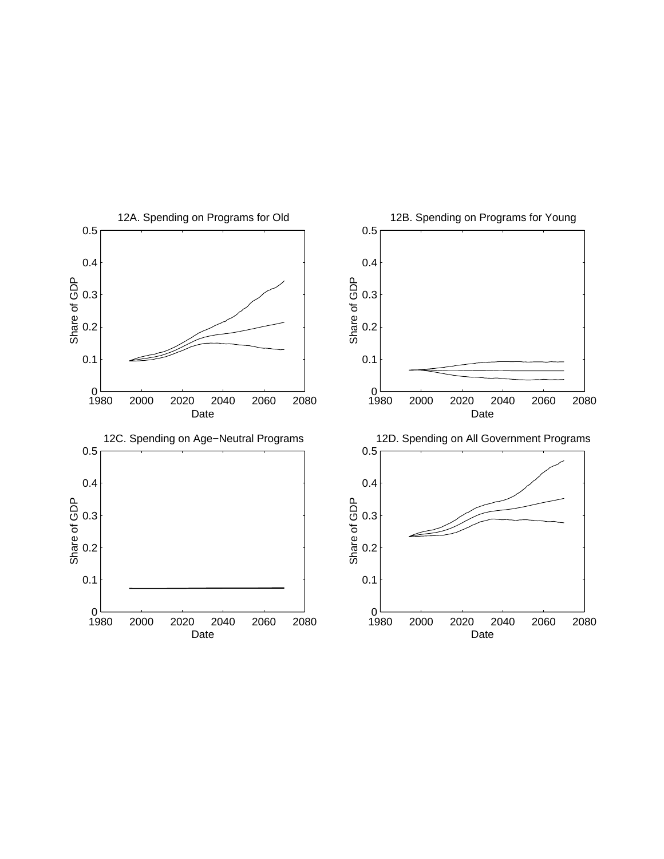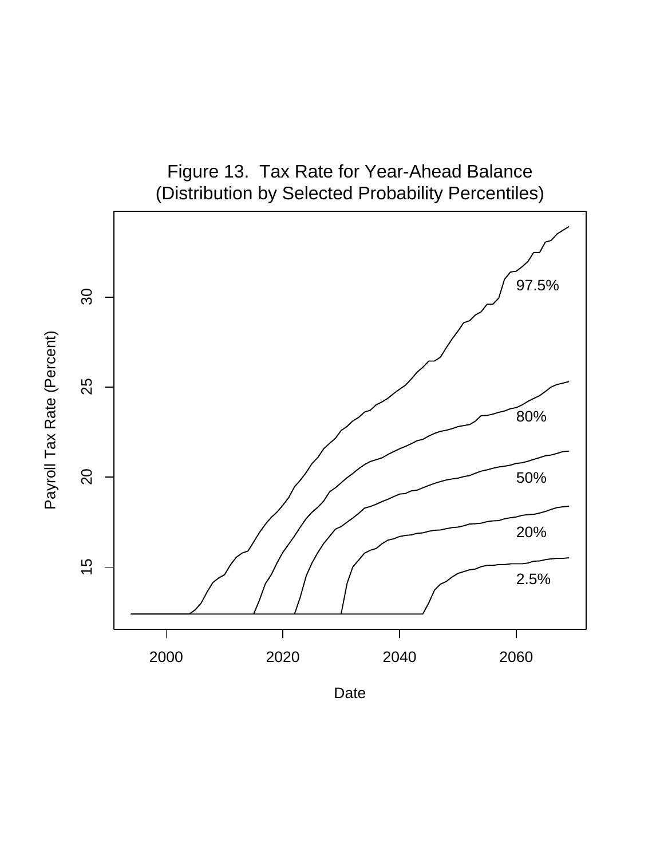

Figure 13. Tax Rate for Year-Ahead Balance (Distribution by Selected Probability Percentiles)

Date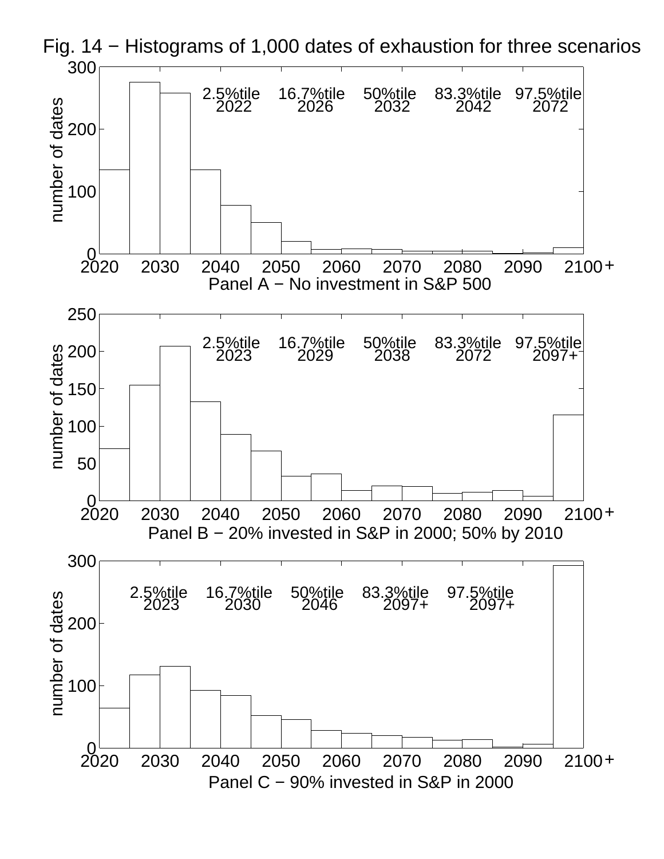